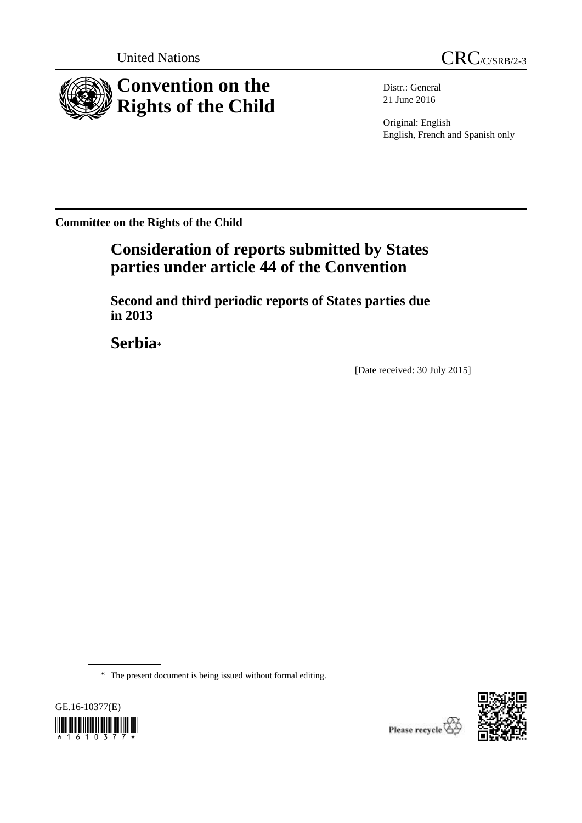



Distr.: General 21 June 2016

Original: English English, French and Spanish only

**Committee on the Rights of the Child**

# **Consideration of reports submitted by States parties under article 44 of the Convention**

**Second and third periodic reports of States parties due in 2013**

**Serbia**\*

[Date received: 30 July 2015]

\* The present document is being issued without formal editing.





Please recycle  $\overleftrightarrow{C}$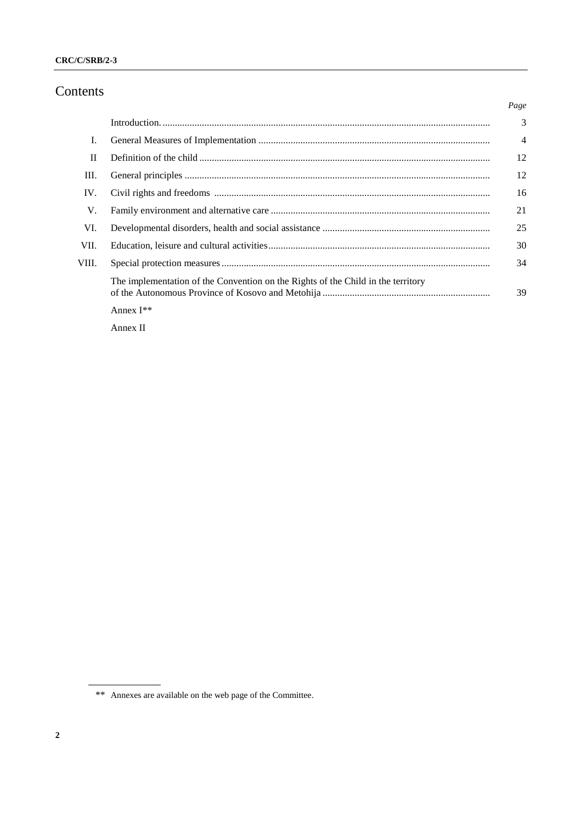## Contents

|              |                                                                                  | Page           |
|--------------|----------------------------------------------------------------------------------|----------------|
|              |                                                                                  | 3              |
| I.           |                                                                                  | $\overline{4}$ |
| $\mathbf{I}$ |                                                                                  | 12             |
| III.         |                                                                                  | 12             |
| IV.          |                                                                                  | 16             |
| V.           |                                                                                  | 21             |
| VI.          |                                                                                  | 25             |
| VII.         |                                                                                  | 30             |
| VIII.        |                                                                                  | 34             |
|              | The implementation of the Convention on the Rights of the Child in the territory | 39             |
|              | Annex $I^{**}$                                                                   |                |

Annex II

<sup>\*\*</sup> Annexes are available on the web page of the Committee.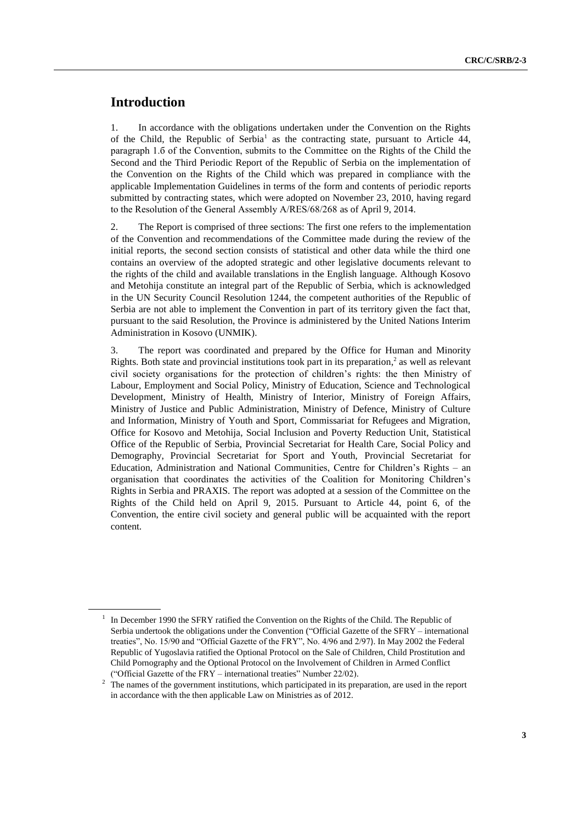## **Introduction**

1. In accordance with the obligations undertaken under the Convention on the Rights of the Child, the Republic of Serbia<sup>1</sup> as the contracting state, pursuant to Article 44, paragraph 1.б of the Convention, submits to the Committee on the Rights of the Child the Second and the Third Periodic Report of the Republic of Serbia on the implementation of the Convention on the Rights of the Child which was prepared in compliance with the applicable Implementation Guidelines in terms of the form and contents of periodic reports submitted by contracting states, which were adopted on November 23, 2010, having regard to the Resolution of the General Assembly А/RES/68/268 as of April 9, 2014.

2. The Report is comprised of three sections: The first one refers to the implementation of the Convention and recommendations of the Committee made during the review of the initial reports, the second section consists of statistical and other data while the third one contains an overview of the adopted strategic and other legislative documents relevant to the rights of the child and available translations in the English language. Although Kosovo and Metohija constitute an integral part of the Republic of Serbia, which is acknowledged in the UN Security Council Resolution 1244, the competent authorities of the Republic of Serbia are not able to implement the Convention in part of its territory given the fact that, pursuant to the said Resolution, the Province is administered by the United Nations Interim Administration in Kosovo (UNMIK).

3. The report was coordinated and prepared by the Office for Human and Minority Rights. Both state and provincial institutions took part in its preparation, 2 as well as relevant civil society organisations for the protection of children's rights: the then Ministry of Labour, Employment and Social Policy, Ministry of Education, Science and Technological Development, Ministry of Health, Ministry of Interior, Ministry of Foreign Affairs, Ministry of Justice and Public Administration, Ministry of Defence, Ministry of Culture and Information, Ministry of Youth and Sport, Commissariat for Refugees and Migration, Office for Kosovo and Metohija, Social Inclusion and Poverty Reduction Unit, Statistical Office of the Republic of Serbia, Provincial Secretariat for Health Care, Social Policy and Demography, Provincial Secretariat for Sport and Youth, Provincial Secretariat for Education, Administration and National Communities, Centre for Children's Rights – an organisation that coordinates the activities of the Coalition for Monitoring Children's Rights in Serbia and PRAXIS. The report was adopted at a session of the Committee on the Rights of the Child held on April 9, 2015. Pursuant to Article 44, point 6, of the Convention, the entire civil society and general public will be acquainted with the report content.

<sup>&</sup>lt;sup>1</sup> In December 1990 the SFRY ratified the Convention on the Rights of the Child. The Republic of Serbia undertook the obligations under the Convention ("Official Gazette of the SFRY – international treaties", No. 15/90 and "Official Gazette of the FRY", No. 4/96 and 2/97). In May 2002 the Federal Republic of Yugoslavia ratified the Optional Protocol on the Sale of Children, Child Prostitution and Child Pornography and the Optional Protocol on the Involvement of Children in Armed Conflict ("Official Gazette of the FRY – international treaties" Number 22/02).

<sup>&</sup>lt;sup>2</sup> The names of the government institutions, which participated in its preparation, are used in the report in accordance with the then applicable Law on Ministries as of 2012.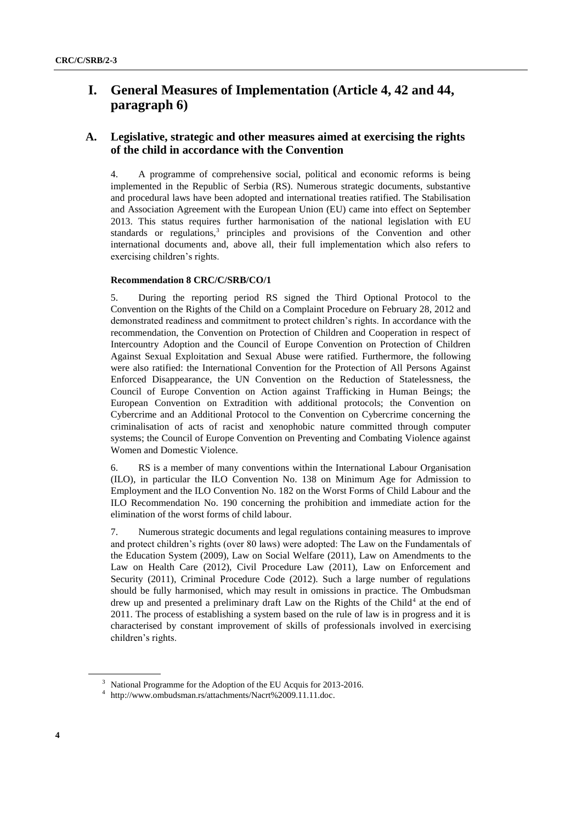## **I. General Measures of Implementation (Article 4, 42 and 44, paragraph 6)**

## **A. Legislative, strategic and other measures aimed at exercising the rights of the child in accordance with the Convention**

4. A programme of comprehensive social, political and economic reforms is being implemented in the Republic of Serbia (RS). Numerous strategic documents, substantive and procedural laws have been adopted and international treaties ratified. The Stabilisation and Association Agreement with the European Union (EU) came into effect on September 2013. This status requires further harmonisation of the national legislation with EU standards or regulations,<sup>3</sup> principles and provisions of the Convention and other international documents and, above all, their full implementation which also refers to exercising children's rights.

#### **Recommendation 8 CRC/C/SRB/CO/1**

5. During the reporting period RS signed the Third Optional Protocol to the Convention on the Rights of the Child on a Complaint Procedure on February 28, 2012 and demonstrated readiness and commitment to protect children's rights. In accordance with the recommendation, the Convention on Protection of Children and Cooperation in respect of Intercountry Adoption and the Council of Europe Convention on Protection of Children Against Sexual Exploitation and Sexual Abuse were ratified. Furthermore, the following were also ratified: the International Convention for the Protection of All Persons Against Enforced Disappearance, the UN Convention on the Reduction of Statelessness, the Council of Europe Convention on Action against Trafficking in Human Beings; the European Convention on Extradition with additional protocols; the Convention on Cybercrime and an Additional Protocol to the Convention on Cybercrime concerning the criminalisation of acts of racist and xenophobic nature committed through computer systems; the Council of Europe Convention on Preventing and Combating Violence against Women and Domestic Violence.

6. RS is a member of many conventions within the International Labour Organisation (ILO), in particular the ILO Convention No. 138 on Minimum Age for Admission to Employment and the ILO Convention No. 182 on the Worst Forms of Child Labour and the ILO Recommendation No. 190 concerning the prohibition and immediate action for the elimination of the worst forms of child labour.

7. Numerous strategic documents and legal regulations containing measures to improve and protect children's rights (over 80 laws) were adopted: The Law on the Fundamentals of the Education System (2009), Law on Social Welfare (2011), Law on Amendments to the Law on Health Care (2012), Civil Procedure Law (2011), Law on Enforcement and Security (2011), Criminal Procedure Code (2012). Such a large number of regulations should be fully harmonised, which may result in omissions in practice. The Ombudsman drew up and presented a preliminary draft Law on the Rights of the Child<sup>4</sup> at the end of 2011. The process of establishing a system based on the rule of law is in progress and it is characterised by constant improvement of skills of professionals involved in exercising children's rights.

<sup>&</sup>lt;sup>3</sup> National Programme for the Adoption of the EU Acquis for 2013-2016.

<sup>4</sup> [http://www.ombudsman.rs/attachments/Nacrt%2009.11.11.doc.](http://www.ombudsman.rs/attachments/Nacrt%2009.11.11.doc)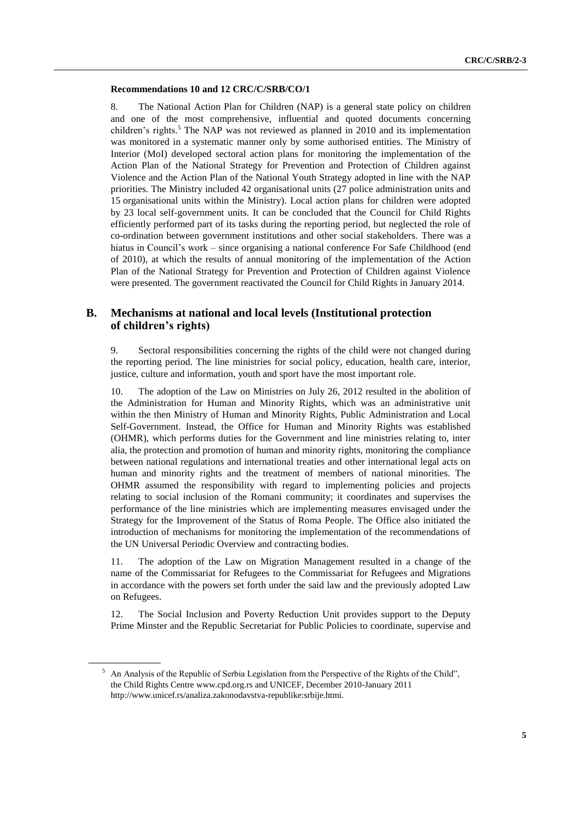#### **Recommendations 10 and 12 CRC/C/SRB/CO/1**

8. The National Action Plan for Children (NAP) is a general state policy on children and one of the most comprehensive, influential and quoted documents concerning children's rights. <sup>5</sup> The NAP was not reviewed as planned in 2010 and its implementation was monitored in a systematic manner only by some authorised entities. The Ministry of Interior (MoI) developed sectoral action plans for monitoring the implementation of the Action Plan of the National Strategy for Prevention and Protection of Children against Violence and the Action Plan of the National Youth Strategy adopted in line with the NAP priorities. The Ministry included 42 organisational units (27 police administration units and 15 organisational units within the Ministry). Local action plans for children were adopted by 23 local self-government units. It can be concluded that the Council for Child Rights efficiently performed part of its tasks during the reporting period, but neglected the role of co-ordination between government institutions and other social stakeholders. There was a hiatus in Council's work – since organising a national conference For Safe Childhood (end of 2010), at which the results of annual monitoring of the implementation of the Action Plan of the National Strategy for Prevention and Protection of Children against Violence were presented. The government reactivated the Council for Child Rights in January 2014.

## **B. Mechanisms at national and local levels (Institutional protection of children's rights)**

9. Sectoral responsibilities concerning the rights of the child were not changed during the reporting period. The line ministries for social policy, education, health care, interior, justice, culture and information, youth and sport have the most important role.

10. The adoption of the Law on Ministries on July 26, 2012 resulted in the abolition of the Administration for Human and Minority Rights, which was an administrative unit within the then Ministry of Human and Minority Rights, Public Administration and Local Self-Government. Instead, the Office for Human and Minority Rights was established (OHMR), which performs duties for the Government and line ministries relating to, inter alia, the protection and promotion of human and minority rights, monitoring the compliance between national regulations and international treaties and other international legal acts on human and minority rights and the treatment of members of national minorities. The OHMR assumed the responsibility with regard to implementing policies and projects relating to social inclusion of the Romani community; it coordinates and supervises the performance of the line ministries which are implementing measures envisaged under the Strategy for the Improvement of the Status of Roma People. The Office also initiated the introduction of mechanisms for monitoring the implementation of the recommendations of the UN Universal Periodic Overview and contracting bodies.

11. The adoption of the Law on Migration Management resulted in a change of the name of the Commissariat for Refugees to the Commissariat for Refugees and Migrations in accordance with the powers set forth under the said law and the previously adopted Law on Refugees.

12. The Social Inclusion and Poverty Reduction Unit provides support to the Deputy Prime Minster and the Republic Secretariat for Public Policies to coordinate, supervise and

<sup>5</sup> An Analysis of the Republic of Serbia Legislation from the Perspective of the Rights of the Child", the Child Rights Centre [www.cpd.org.rs](http://www.cpd.org.rs/) and UNICEF, December 2010-January 2011 <http://www.unicef.rs/analiza.zakonodavstva-republike:srbije.htmi.>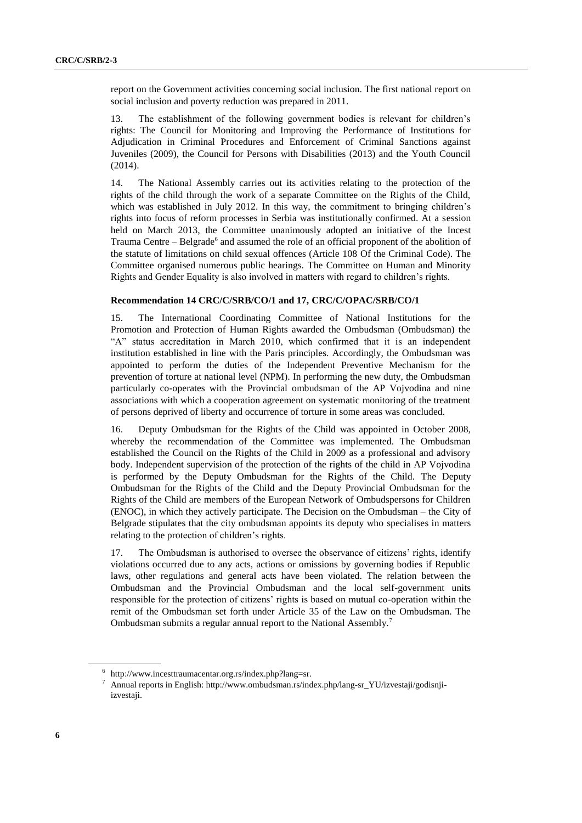report on the Government activities concerning social inclusion. The first national report on social inclusion and poverty reduction was prepared in 2011.

13. The establishment of the following government bodies is relevant for children's rights: The Council for Monitoring and Improving the Performance of Institutions for Adjudication in Criminal Procedures and Enforcement of Criminal Sanctions against Juveniles (2009), the Council for Persons with Disabilities (2013) and the Youth Council (2014).

14. The National Assembly carries out its activities relating to the protection of the rights of the child through the work of a separate Committee on the Rights of the Child, which was established in July 2012. In this way, the commitment to bringing children's rights into focus of reform processes in Serbia was institutionally confirmed. At a session held on March 2013, the Committee unanimously adopted an initiative of the Incest Trauma Centre – Belgrade<sup>6</sup> and assumed the role of an official proponent of the abolition of the statute of limitations on child sexual offences (Article 108 Of the Criminal Code). The Committee organised numerous public hearings. The Committee on Human and Minority Rights and Gender Equality is also involved in matters with regard to children's rights.

#### **Recommendation 14 CRC/C/SRB/CO/1 and 17, CRC/C/OPAC/SRB/CO/1**

15. The International Coordinating Committee of National Institutions for the Promotion and Protection of Human Rights awarded the Ombudsman (Ombudsman) the "A" status accreditation in March 2010, which confirmed that it is an independent institution established in line with the Paris principles. Accordingly, the Ombudsman was appointed to perform the duties of the Independent Preventive Mechanism for the prevention of torture at national level (NPM). In performing the new duty, the Ombudsman particularly co-operates with the Provincial ombudsman of the AP Vojvodina and nine associations with which a cooperation agreement on systematic monitoring of the treatment of persons deprived of liberty and occurrence of torture in some areas was concluded.

16. Deputy Ombudsman for the Rights of the Child was appointed in October 2008, whereby the recommendation of the Committee was implemented. The Ombudsman established the Council on the Rights of the Child in 2009 as a professional and advisory body. Independent supervision of the protection of the rights of the child in AP Vojvodina is performed by the Deputy Ombudsman for the Rights of the Child. The Deputy Ombudsman for the Rights of the Child and the Deputy Provincial Ombudsman for the Rights of the Child are members of the European Network of Ombudspersons for Children (ENOC), in which they actively participate. The Decision on the Ombudsman – the City of Belgrade stipulates that the city ombudsman appoints its deputy who specialises in matters relating to the protection of children's rights.

17. The Ombudsman is authorised to oversee the observance of citizens' rights, identify violations occurred due to any acts, actions or omissions by governing bodies if Republic laws, other regulations and general acts have been violated. The relation between the Ombudsman and the Provincial Ombudsman and the local self-government units responsible for the protection of citizens' rights is based on mutual co-operation within the remit of the Ombudsman set forth under Article 35 of the Law on the Ombudsman. The Ombudsman submits a regular annual report to the National Assembly.<sup>7</sup>

<sup>6</sup> [http://www.incesttraumacentar.org.rs/index.php?lang=sr.](http://www.incesttraumacentar.org.rs/index.php?lang=sr)

<sup>7</sup> Annual reports in English: [http://www.ombudsman.rs/index.php/lang-sr\\_YU/izvestaji/godisnji](http://www.ombudsman.rs/index.php/lang-sr_YU/izvestaji/godisnji-izvestaji)[izvestaji.](http://www.ombudsman.rs/index.php/lang-sr_YU/izvestaji/godisnji-izvestaji)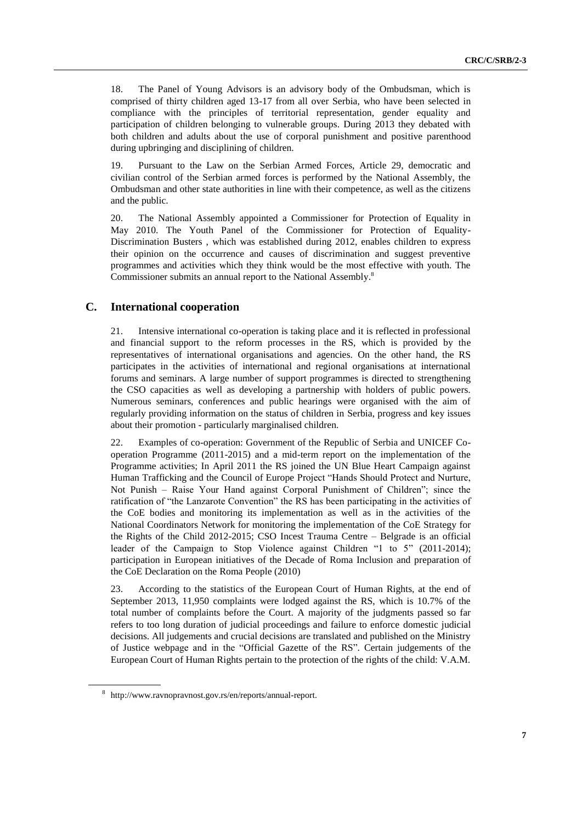18. The Panel of Young Advisors is an advisory body of the Ombudsman, which is comprised of thirty children aged 13-17 from all over Serbia, who have been selected in compliance with the principles of territorial representation, gender equality and participation of children belonging to vulnerable groups. During 2013 they debated with both children and adults about the use of corporal punishment and positive parenthood during upbringing and disciplining of children.

19. Pursuant to the Law on the Serbian Armed Forces, Article 29, democratic and civilian control of the Serbian armed forces is performed by the National Assembly, the Ombudsman and other state authorities in line with their competence, as well as the citizens and the public.

20. The National Assembly appointed a Commissioner for Protection of Equality in May 2010. The Youth Panel of the Commissioner for Protection of Equality-Discrimination Busters , which was established during 2012, enables children to express their opinion on the occurrence and causes of discrimination and suggest preventive programmes and activities which they think would be the most effective with youth. The Commissioner submits an annual report to the National Assembly.<sup>8</sup>

## **C. International cooperation**

21. Intensive international co-operation is taking place and it is reflected in professional and financial support to the reform processes in the RS, which is provided by the representatives of international organisations and agencies. On the other hand, the RS participates in the activities of international and regional organisations at international forums and seminars. A large number of support programmes is directed to strengthening the CSO capacities as well as developing a partnership with holders of public powers. Numerous seminars, conferences and public hearings were organised with the aim of regularly providing information on the status of children in Serbia, progress and key issues about their promotion - particularly marginalised children.

22. Examples of co-operation: Government of the Republic of Serbia and UNICEF Cooperation Programme (2011-2015) and a mid-term report on the implementation of the Programme activities; In April 2011 the RS joined the UN Blue Heart Campaign against Human Trafficking and the Council of Europe Project "Hands Should Protect and Nurture, Not Punish – Raise Your Hand against Corporal Punishment of Children"; since the ratification of "the Lanzarote Convention" the RS has been participating in the activities of the CoE bodies and monitoring its implementation as well as in the activities of the National Coordinators Network for monitoring the implementation of the CoE Strategy for the Rights of the Child 2012-2015; CSO Incest Trauma Centre – Belgrade is an official leader of the Campaign to Stop Violence against Children "1 to 5" (2011-2014); participation in European initiatives of the Decade of Roma Inclusion and preparation of the CoE Declaration on the Roma People (2010)

23. According to the statistics of the European Court of Human Rights, at the end of September 2013, 11,950 complaints were lodged against the RS, which is 10.7% of the total number of complaints before the Court. A majority of the judgments passed so far refers to too long duration of judicial proceedings and failure to enforce domestic judicial decisions. All judgements and crucial decisions are translated and published on the Ministry of Justice webpage and in the "Official Gazette of the RS". Certain judgements of the European Court of Human Rights pertain to the protection of the rights of the child: V.A.M.

<sup>8</sup> [http://www.ravnopravnost.gov.rs/en/reports/annual-report.](http://www.ravnopravnost.gov.rs/en/reports/annual-report)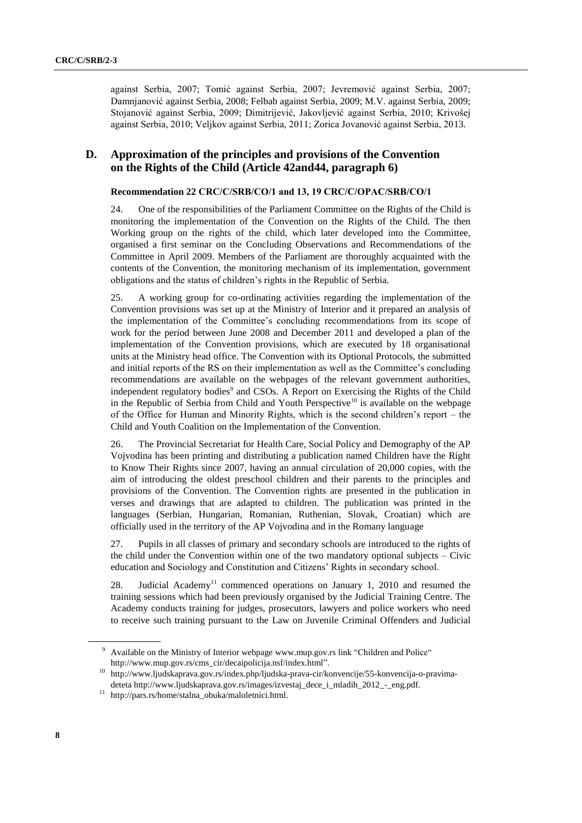against Serbia, 2007; Tomić against Serbia, 2007; Jevremović against Serbia, 2007; Damnjanović against Serbia, 2008; Felbab against Serbia, 2009; M.V. against Serbia, 2009; Stojanović against Serbia, 2009; Dimitrijević, Jakovljević against Serbia, 2010; Krivošej against Serbia, 2010; Veljkov against Serbia, 2011; Zorica Jovanović against Serbia, 2013.

## **D. Approximation of the principles and provisions of the Convention on the Rights of the Child (Article 42and44, paragraph 6)**

#### **Recommendation 22 CRC/C/SRB/CO/1 and 13, 19 CRC/C/OPАC/SRB/CO/1**

24. One of the responsibilities of the Parliament Committee on the Rights of the Child is monitoring the implementation of the Convention on the Rights of the Child. The then Working group on the rights of the child, which later developed into the Committee, organised a first seminar on the Concluding Observations and Recommendations of the Committee in April 2009. Members of the Parliament are thoroughly acquainted with the contents of the Convention, the monitoring mechanism of its implementation, government obligations and the status of children's rights in the Republic of Serbia.

25. A working group for co-ordinating activities regarding the implementation of the Convention provisions was set up at the Ministry of Interior and it prepared an analysis of the implementation of the Committee's concluding recommendations from its scope of work for the period between June 2008 and December 2011 and developed a plan of the implementation of the Convention provisions, which are executed by 18 organisational units at the Ministry head office. The Convention with its Optional Protocols, the submitted and initial reports of the RS on their implementation as well as the Committee's concluding recommendations are available on the webpages of the relevant government authorities, independent regulatory bodies<sup>9</sup> and CSOs. A Report on Exercising the Rights of the Child in the Republic of Serbia from Child and Youth Perspective<sup>10</sup> is available on the webpage of the Office for Human and Minority Rights, which is the second children's report – the Child and Youth Coalition on the Implementation of the Convention.

26. The Provincial Secretariat for Health Care, Social Policy and Demography of the AP Vojvodina has been printing and distributing a publication named Children have the Right to Know Their Rights since 2007, having an annual circulation of 20,000 copies, with the aim of introducing the oldest preschool children and their parents to the principles and provisions of the Convention. The Convention rights are presented in the publication in verses and drawings that are adapted to children. The publication was printed in the languages (Serbian, Hungarian, Romanian, Ruthenian, Slovak, Croatian) which are officially used in the territory of the AP Vojvodina and in the Romany language

27. Pupils in all classes of primary and secondary schools are introduced to the rights of the child under the Convention within one of the two mandatory optional subjects – Civic education and Sociology and Constitution and Citizens' Rights in secondary school.

28. Judicial Academy<sup>11</sup> commenced operations on January 1, 2010 and resumed the training sessions which had been previously organised by the Judicial Training Centre. The Academy conducts training for judges, prosecutors, lawyers and police workers who need to receive such training pursuant to the Law on Juvenile Criminal Offenders and Judicial

<sup>10</sup> [http://www.ljudskaprava.gov.rs/index.php/ljudska-prava-cir/konvencije/55-konvencija-o-pravima](http://www.ljudskaprava.gov.rs/index.php/ljudska-prava-cir/konvencije/55-konvencija-o-pravima-deteta)[deteta](http://www.ljudskaprava.gov.rs/index.php/ljudska-prava-cir/konvencije/55-konvencija-o-pravima-deteta) [http://www.ljudskaprava.gov.rs/images/izvestaj\\_dece\\_i\\_mladih\\_2012\\_-\\_eng.pdf.](http://www.ljudskaprava.gov.rs/images/izvestaj_dece_i_mladih_2012_-_eng.pdf)

<sup>9</sup> Available on the Ministry of Interior webpag[e www.mup.gov.rs](http://www.mup.gov.rs/) link "Children and Police" [http://www.mup.gov.rs/cms\\_cir/decaipolicija.nsf/index.html"](http://www.mup.gov.rs/cms_cir/decaipolicija.nsf/index.html).

<sup>11</sup> [http://pars.rs/home/stalna\\_obuka/maloletnici.html.](http://pars.rs/home/stalna_obuka/maloletnici.html)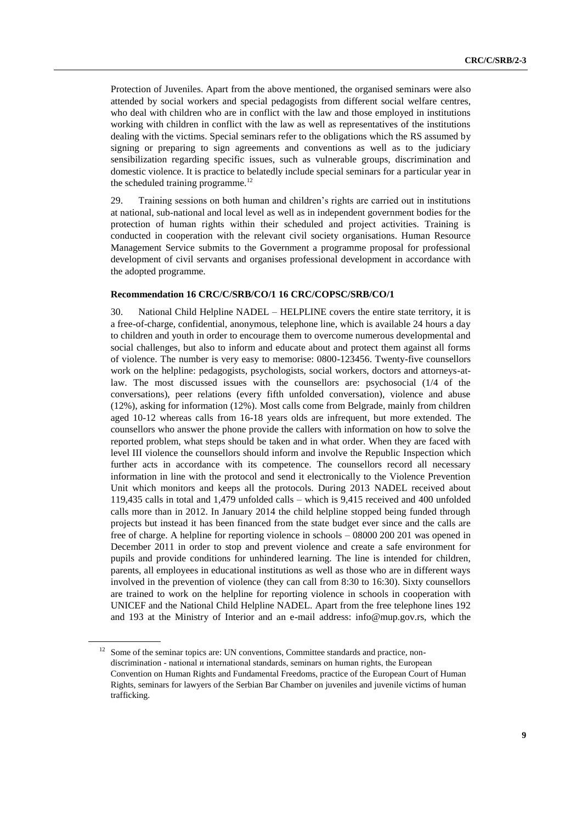Protection of Juveniles. Apart from the above mentioned, the organised seminars were also attended by social workers and special pedagogists from different social welfare centres, who deal with children who are in conflict with the law and those employed in institutions working with children in conflict with the law as well as representatives of the institutions dealing with the victims. Special seminars refer to the obligations which the RS assumed by signing or preparing to sign agreements and conventions as well as to the judiciary sensibilization regarding specific issues, such as vulnerable groups, discrimination and domestic violence. It is practice to belatedly include special seminars for a particular year in the scheduled training programme. $^{12}$ 

29. Training sessions on both human and children's rights are carried out in institutions at national, sub-national and local level as well as in independent government bodies for the protection of human rights within their scheduled and project activities. Training is conducted in cooperation with the relevant civil society organisations. Human Resource Management Service submits to the Government a programme proposal for professional development of civil servants and organises professional development in accordance with the adopted programme.

#### **Recommendation 16 CRC/C/SRB/CO/1 16 CRC/COPSC/SRB/CO/1**

30. National Child Helpline NADEL – HELPLINE covers the entire state territory, it is a free-of-charge, confidential, anonymous, telephone line, which is available 24 hours a day to children and youth in order to encourage them to overcome numerous developmental and social challenges, but also to inform and educate about and protect them against all forms of violence. The number is very easy to memorise: 0800-123456. Twenty-five counsellors work on the helpline: pedagogists, psychologists, social workers, doctors and attorneys-atlaw. The most discussed issues with the counsellors are: psychosocial (1/4 of the conversations), peer relations (every fifth unfolded conversation), violence and abuse (12%), asking for information (12%). Most calls come from Belgrade, mainly from children aged 10-12 whereas calls from 16-18 years olds are infrequent, but more extended. The counsellors who answer the phone provide the callers with information on how to solve the reported problem, what steps should be taken and in what order. When they are faced with level III violence the counsellors should inform and involve the Republic Inspection which further acts in accordance with its competence. The counsellors record all necessary information in line with the protocol and send it electronically to the Violence Prevention Unit which monitors and keeps all the protocols. During 2013 NADEL received about 119,435 calls in total and 1,479 unfolded calls – which is 9,415 received and 400 unfolded calls more than in 2012. In January 2014 the child helpline stopped being funded through projects but instead it has been financed from the state budget ever since and the calls are free of charge. A helpline for reporting violence in schools – 08000 200 201 was opened in December 2011 in order to stop and prevent violence and create a safe environment for pupils and provide conditions for unhindered learning. The line is intended for children, parents, all employees in educational institutions as well as those who are in different ways involved in the prevention of violence (they can call from 8:30 to 16:30). Sixty counsellors are trained to work on the helpline for reporting violence in schools in cooperation with UNICEF and the National Child Helpline NADEL. Apart from the free telephone lines 192 and 193 at the Ministry of Interior and an e-mail address: [info@mup.gov.rs,](mailto:info@mup.gov.rs) which the

<sup>&</sup>lt;sup>12</sup> Some of the seminar topics are: UN conventions, Committee standards and practice, nondiscrimination - national и international standards, seminars on human rights, the European Convention on Human Rights and Fundamental Freedoms, practice of the European Court of Human Rights, seminars for lawyers of the Serbian Bar Chamber on juveniles and juvenile victims of human trafficking.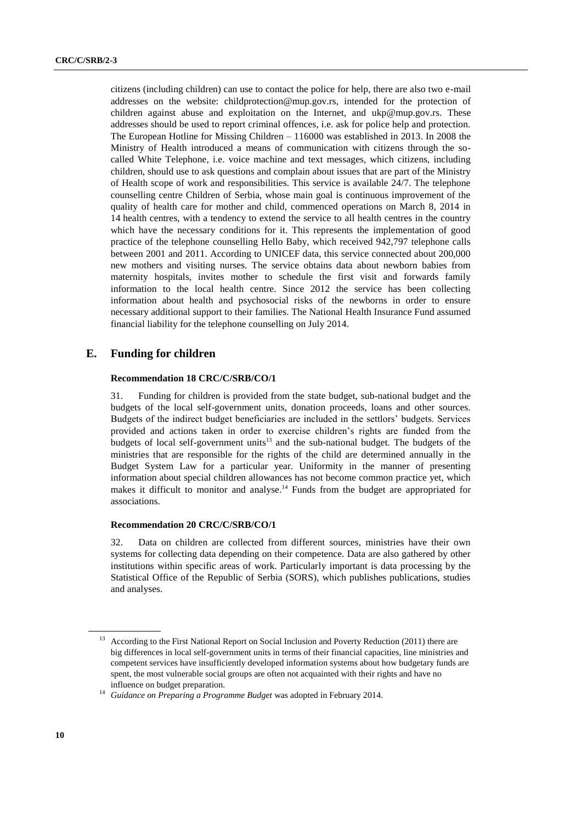citizens (including children) can use to contact the police for help, there are also two e-mail addresses on the website: [childprotection@mup.gov.rs,](mailto:childprotection@mup.gov.rs) intended for the protection of children against abuse and exploitation on the Internet, and [ukp@mup.gov.rs.](mailto:ukp@mup.gov.rs) These addresses should be used to report criminal offences, i.e. ask for police help and protection. The European Hotline for Missing Children – 116000 was established in 2013. In 2008 the Ministry of Health introduced a means of communication with citizens through the socalled White Telephone, i.e. voice machine and text messages, which citizens, including children, should use to ask questions and complain about issues that are part of the Ministry of Health scope of work and responsibilities. This service is available 24/7. The telephone counselling centre Children of Serbia, whose main goal is continuous improvement of the quality of health care for mother and child, commenced operations on March 8, 2014 in 14 health centres, with a tendency to extend the service to all health centres in the country which have the necessary conditions for it. This represents the implementation of good practice of the telephone counselling Hello Baby, which received 942,797 telephone calls between 2001 and 2011. According to UNICEF data, this service connected about 200,000 new mothers and visiting nurses. The service obtains data about newborn babies from maternity hospitals, invites mother to schedule the first visit and forwards family information to the local health centre. Since 2012 the service has been collecting information about health and psychosocial risks of the newborns in order to ensure necessary additional support to their families. The National Health Insurance Fund assumed financial liability for the telephone counselling on July 2014.

### **E. Funding for children**

#### **Recommendation 18 CRC/C/SRB/CO/1**

31. Funding for children is provided from the state budget, sub-national budget and the budgets of the local self-government units, donation proceeds, loans and other sources. Budgets of the indirect budget beneficiaries are included in the settlors' budgets. Services provided and actions taken in order to exercise children's rights are funded from the budgets of local self-government units $13$  and the sub-national budget. The budgets of the ministries that are responsible for the rights of the child are determined annually in the Budget System Law for a particular year. Uniformity in the manner of presenting information about special children allowances has not become common practice yet, which makes it difficult to monitor and analyse.<sup>14</sup> Funds from the budget are appropriated for associations.

#### **Recommendation 20 CRC/C/SRB/CO/1**

32. Data on children are collected from different sources, ministries have their own systems for collecting data depending on their competence. Data are also gathered by other institutions within specific areas of work. Particularly important is data processing by the Statistical Office of the Republic of Serbia (SORS), which publishes publications, studies and analyses.

<sup>13</sup> According to the First National Report on Social Inclusion and Poverty Reduction (2011) there are big differences in local self-government units in terms of their financial capacities, line ministries and competent services have insufficiently developed information systems about how budgetary funds are spent, the most vulnerable social groups are often not acquainted with their rights and have no influence on budget preparation.

<sup>&</sup>lt;sup>14</sup> Guidance on Preparing a Programme Budget was adopted in February 2014.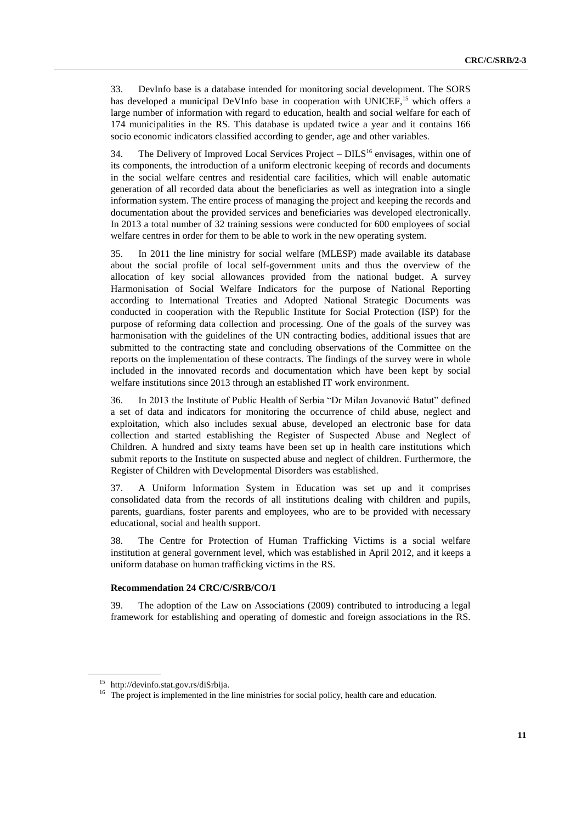33. DevInfo base is a database intended for monitoring social development. The SORS has developed a municipal DeVInfo base in cooperation with UNICEF,<sup>15</sup> which offers a large number of information with regard to education, health and social welfare for each of 174 municipalities in the RS. This database is updated twice a year and it contains 166 socio economic indicators classified according to gender, age and other variables.

34. The Delivery of Improved Local Services Project –  $DILS<sup>16</sup>$  envisages, within one of its components, the introduction of a uniform electronic keeping of records and documents in the social welfare centres and residential care facilities, which will enable automatic generation of all recorded data about the beneficiaries as well as integration into a single information system. The entire process of managing the project and keeping the records and documentation about the provided services and beneficiaries was developed electronically. In 2013 a total number of 32 training sessions were conducted for 600 employees of social welfare centres in order for them to be able to work in the new operating system.

35. In 2011 the line ministry for social welfare (MLESP) made available its database about the social profile of local self-government units and thus the overview of the allocation of key social allowances provided from the national budget. A survey Harmonisation of Social Welfare Indicators for the purpose of National Reporting according to International Treaties and Adopted National Strategic Documents was conducted in cooperation with the Republic Institute for Social Protection (ISP) for the purpose of reforming data collection and processing. One of the goals of the survey was harmonisation with the guidelines of the UN contracting bodies, additional issues that are submitted to the contracting state and concluding observations of the Committee on the reports on the implementation of these contracts. The findings of the survey were in whole included in the innovated records and documentation which have been kept by social welfare institutions since 2013 through an established IT work environment.

36. In 2013 the Institute of Public Health of Serbia "Dr Milan Jovanović Batut" defined a set of data and indicators for monitoring the occurrence of child abuse, neglect and exploitation, which also includes sexual abuse, developed an electronic base for data collection and started establishing the Register of Suspected Abuse and Neglect of Children. A hundred and sixty teams have been set up in health care institutions which submit reports to the Institute on suspected abuse and neglect of children. Furthermore, the Register of Children with Developmental Disorders was established.

37. A Uniform Information System in Education was set up and it comprises consolidated data from the records of all institutions dealing with children and pupils, parents, guardians, foster parents and employees, who are to be provided with necessary educational, social and health support.

38. The Centre for Protection of Human Trafficking Victims is a social welfare institution at general government level, which was established in April 2012, and it keeps a uniform database on human trafficking victims in the RS.

#### **Recommendation 24 CRC/C/SRB/CO/1**

39. The adoption of the Law on Associations (2009) contributed to introducing a legal framework for establishing and operating of domestic and foreign associations in the RS.

<sup>15</sup> [http://devinfo.stat.gov.rs/diSrbija.](http://devinfo.stat.gov.rs/diSrbija/Home_DI.aspx)

<sup>&</sup>lt;sup>16</sup> The project is implemented in the line ministries for social policy, health care and education.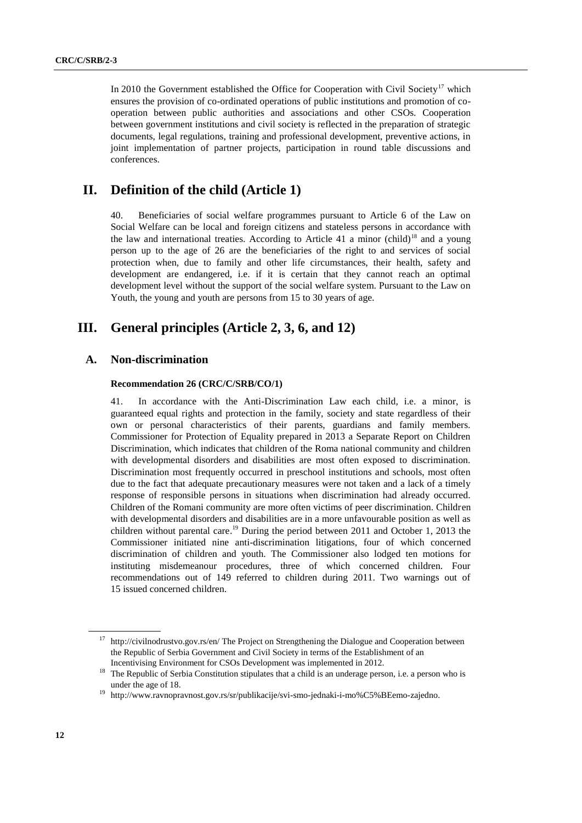In 2010 the Government established the Office for Cooperation with Civil Society<sup>17</sup> which ensures the provision of co-ordinated operations of public institutions and promotion of cooperation between public authorities and associations and other CSOs. Cooperation between government institutions and civil society is reflected in the preparation of strategic documents, legal regulations, training and professional development, preventive actions, in joint implementation of partner projects, participation in round table discussions and conferences.

## **II. Definition of the child (Article 1)**

40. Beneficiaries of social welfare programmes pursuant to Article 6 of the Law on Social Welfare can be local and foreign citizens and stateless persons in accordance with the law and international treaties. According to Article 41 a minor (child)<sup>18</sup> and a young person up to the age of 26 are the beneficiaries of the right to and services of social protection when, due to family and other life circumstances, their health, safety and development are endangered, i.e. if it is certain that they cannot reach an optimal development level without the support of the social welfare system. Pursuant to the Law on Youth, the young and youth are persons from 15 to 30 years of age.

## **III. General principles (Article 2, 3, 6, and 12)**

#### **A. Non-discrimination**

#### **Recommendation 26 (CRC/C/SRB/CO/1)**

41. In accordance with the Anti-Discrimination Law each child, i.e. a minor, is guaranteed equal rights and protection in the family, society and state regardless of their own or personal characteristics of their parents, guardians and family members. Commissioner for Protection of Equality prepared in 2013 a Separate Report on Children Discrimination, which indicates that children of the Roma national community and children with developmental disorders and disabilities are most often exposed to discrimination. Discrimination most frequently occurred in preschool institutions and schools, most often due to the fact that adequate precautionary measures were not taken and a lack of a timely response of responsible persons in situations when discrimination had already occurred. Children of the Romani community are more often victims of peer discrimination. Children with developmental disorders and disabilities are in a more unfavourable position as well as children without parental care.<sup>19</sup> During the period between 2011 and October 1, 2013 the Commissioner initiated nine anti-discrimination litigations, four of which concerned discrimination of children and youth. The Commissioner also lodged ten motions for instituting misdemeanour procedures, three of which concerned children. Four recommendations out of 149 referred to children during 2011. Two warnings out of 15 issued concerned children.

<sup>&</sup>lt;sup>17</sup> <http://civilnodrustvo.gov.rs/en/> The Project on Strengthening the Dialogue and Cooperation between the Republic of Serbia Government and Civil Society in terms of the Establishment of an Incentivising Environment for CSOs Development was implemented in 2012.

<sup>&</sup>lt;sup>18</sup> The Republic of Serbia Constitution stipulates that a child is an underage person, i.e. a person who is under the age of 18.

<sup>19</sup> [http://www.ravnopravnost.gov.rs/sr/publikacije/svi-smo-jednaki-i-mo%C5%BEemo-zajedno.](http://www.ravnopravnost.gov.rs/sr/publikacije/svi-smo-jednaki-i-mo%C5%BEemo-zajedno)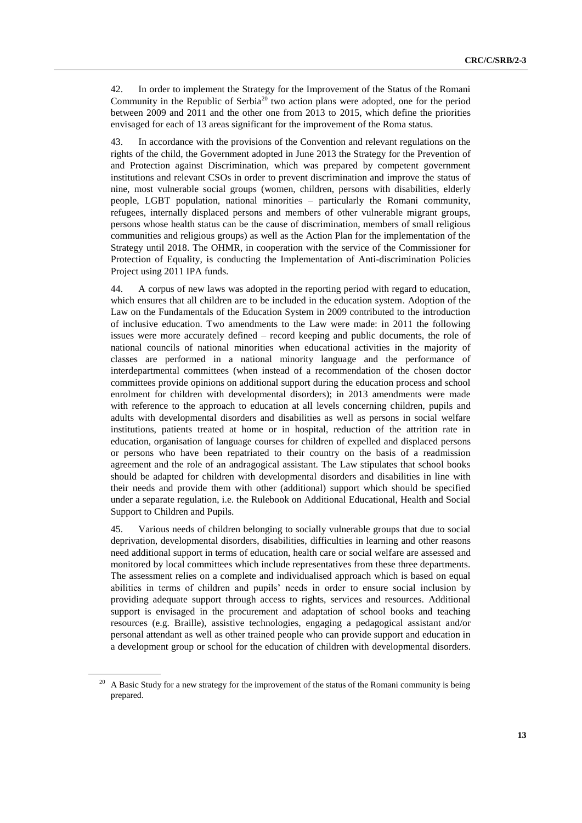42. In order to implement the Strategy for the Improvement of the Status of the Romani Community in the Republic of Serbia<sup>20</sup> two action plans were adopted, one for the period between 2009 and 2011 and the other one from 2013 to 2015, which define the priorities envisaged for each of 13 areas significant for the improvement of the Roma status.

43. In accordance with the provisions of the Convention and relevant regulations on the rights of the child, the Government adopted in June 2013 the Strategy for the Prevention of and Protection against Discrimination, which was prepared by competent government institutions and relevant CSOs in order to prevent discrimination and improve the status of nine, most vulnerable social groups (women, children, persons with disabilities, elderly people, LGBT population, national minorities – particularly the Romani community, refugees, internally displaced persons and members of other vulnerable migrant groups, persons whose health status can be the cause of discrimination, members of small religious communities and religious groups) as well as the Action Plan for the implementation of the Strategy until 2018. The OHMR, in cooperation with the service of the Commissioner for Protection of Equality, is conducting the Implementation of Anti-discrimination Policies Project using 2011 IPA funds.

44. A corpus of new laws was adopted in the reporting period with regard to education, which ensures that all children are to be included in the education system. Adoption of the Law on the Fundamentals of the Education System in 2009 contributed to the introduction of inclusive education. Two amendments to the Law were made: in 2011 the following issues were more accurately defined – record keeping and public documents, the role of national councils of national minorities when educational activities in the majority of classes are performed in a national minority language and the performance of interdepartmental committees (when instead of a recommendation of the chosen doctor committees provide opinions on additional support during the education process and school enrolment for children with developmental disorders); in 2013 amendments were made with reference to the approach to education at all levels concerning children, pupils and adults with developmental disorders and disabilities as well as persons in social welfare institutions, patients treated at home or in hospital, reduction of the attrition rate in education, organisation of language courses for children of expelled and displaced persons or persons who have been repatriated to their country on the basis of a readmission agreement and the role of an andragogical assistant. The Law stipulates that school books should be adapted for children with developmental disorders and disabilities in line with their needs and provide them with other (additional) support which should be specified under a separate regulation, i.e. the Rulebook on Additional Educational, Health and Social Support to Children and Pupils.

45. Various needs of children belonging to socially vulnerable groups that due to social deprivation, developmental disorders, disabilities, difficulties in learning and other reasons need additional support in terms of education, health care or social welfare are assessed and monitored by local committees which include representatives from these three departments. The assessment relies on a complete and individualised approach which is based on equal abilities in terms of children and pupils' needs in order to ensure social inclusion by providing adequate support through access to rights, services and resources. Additional support is envisaged in the procurement and adaptation of school books and teaching resources (e.g. Braille), assistive technologies, engaging a pedagogical assistant and/or personal attendant as well as other trained people who can provide support and education in a development group or school for the education of children with developmental disorders.

<sup>&</sup>lt;sup>20</sup> A Basic Study for a new strategy for the improvement of the status of the Romani community is being prepared.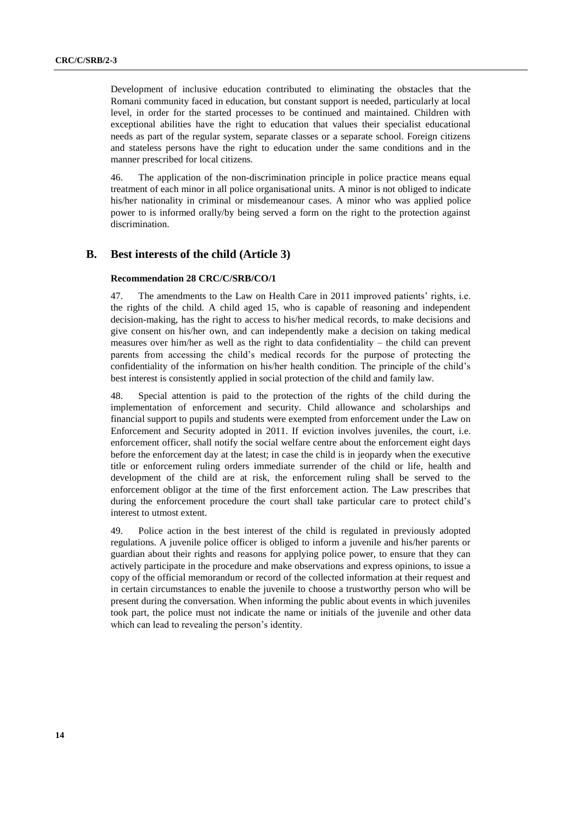Development of inclusive education contributed to eliminating the obstacles that the Romani community faced in education, but constant support is needed, particularly at local level, in order for the started processes to be continued and maintained. Children with exceptional abilities have the right to education that values their specialist educational needs as part of the regular system, separate classes or a separate school. Foreign citizens and stateless persons have the right to education under the same conditions and in the manner prescribed for local citizens.

46. The application of the non-discrimination principle in police practice means equal treatment of each minor in all police organisational units. A minor is not obliged to indicate his/her nationality in criminal or misdemeanour cases. A minor who was applied police power to is informed orally/by being served a form on the right to the protection against discrimination.

## **B. Best interests of the child (Article 3)**

#### **Recommendation 28 CRC/C/SRB/CO/1**

47. The amendments to the Law on Health Care in 2011 improved patients' rights, i.e. the rights of the child. A child aged 15, who is capable of reasoning and independent decision-making, has the right to access to his/her medical records, to make decisions and give consent on his/her own, and can independently make a decision on taking medical measures over him/her as well as the right to data confidentiality – the child can prevent parents from accessing the child's medical records for the purpose of protecting the confidentiality of the information on his/her health condition. The principle of the child's best interest is consistently applied in social protection of the child and family law.

48. Special attention is paid to the protection of the rights of the child during the implementation of enforcement and security. Child allowance and scholarships and financial support to pupils and students were exempted from enforcement under the Law on Enforcement and Security adopted in 2011. If eviction involves juveniles, the court, i.e. enforcement officer, shall notify the social welfare centre about the enforcement eight days before the enforcement day at the latest; in case the child is in jeopardy when the executive title or enforcement ruling orders immediate surrender of the child or life, health and development of the child are at risk, the enforcement ruling shall be served to the enforcement obligor at the time of the first enforcement action. The Law prescribes that during the enforcement procedure the court shall take particular care to protect child's interest to utmost extent.

49. Police action in the best interest of the child is regulated in previously adopted regulations. A juvenile police officer is obliged to inform a juvenile and his/her parents or guardian about their rights and reasons for applying police power, to ensure that they can actively participate in the procedure and make observations and express opinions, to issue a copy of the official memorandum or record of the collected information at their request and in certain circumstances to enable the juvenile to choose a trustworthy person who will be present during the conversation. When informing the public about events in which juveniles took part, the police must not indicate the name or initials of the juvenile and other data which can lead to revealing the person's identity.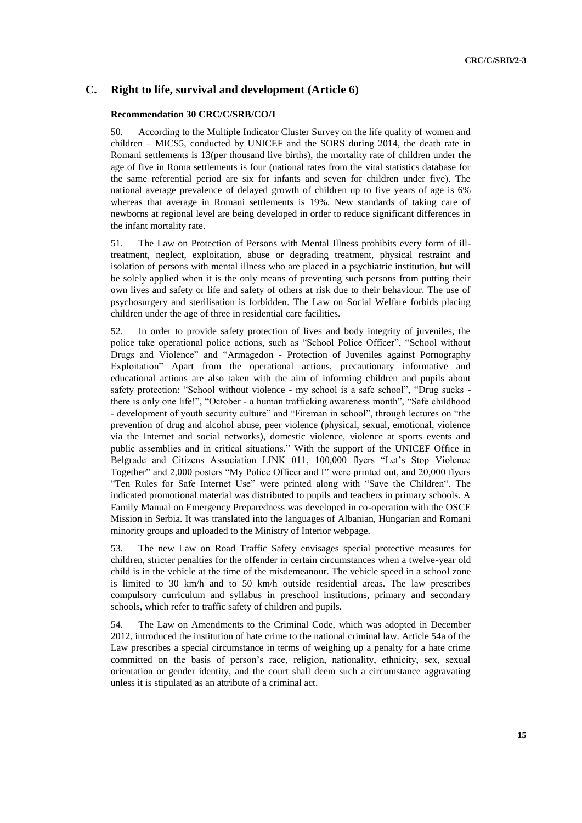## **C. Right to life, survival and development (Article 6)**

#### **Recommendation 30 CRC/C/SRB/CO/1**

50. According to the Multiple Indicator Cluster Survey on the life quality of women and children – MICS5, conducted by UNICEF and the SORS during 2014, the death rate in Romani settlements is 13(per thousand live births), the mortality rate of children under the age of five in Roma settlements is four (national rates from the vital statistics database for the same referential period are six for infants and seven for children under five). The national average prevalence of delayed growth of children up to five years of age is 6% whereas that average in Romani settlements is 19%. New standards of taking care of newborns at regional level are being developed in order to reduce significant differences in the infant mortality rate.

51. The Law on Protection of Persons with Mental Illness prohibits every form of illtreatment, neglect, exploitation, abuse or degrading treatment, physical restraint and isolation of persons with mental illness who are placed in a psychiatric institution, but will be solely applied when it is the only means of preventing such persons from putting their own lives and safety or life and safety of others at risk due to their behaviour. The use of psychosurgery and sterilisation is forbidden. The Law on Social Welfare forbids placing children under the age of three in residential care facilities.

52. In order to provide safety protection of lives and body integrity of juveniles, the police take operational police actions, such as "School Police Officer", "School without Drugs and Violence" and "Armagedon - Protection of Juveniles against Pornography Exploitation" Apart from the operational actions, precautionary informative and educational actions are also taken with the aim of informing children and pupils about safety protection: "School without violence - my school is a safe school", "Drug sucks there is only one life!", "October - a human trafficking awareness month", "Safe childhood - development of youth security culture" and "Fireman in school", through lectures on "the prevention of drug and alcohol abuse, peer violence (physical, sexual, emotional, violence via the Internet and social networks), domestic violence, violence at sports events and public assemblies and in critical situations." With the support of the UNICEF Office in Belgrade and Citizens Association LINK 011, 100,000 flyers "Let's Stop Violence Together" and 2,000 posters "My Police Officer and I" were printed out, and 20,000 flyers "Ten Rules for Safe Internet Use" were printed along with "Save the Children". The indicated promotional material was distributed to pupils and teachers in primary schools. A Family Manual on Emergency Preparedness was developed in co-operation with the OSCE Mission in Serbia. It was translated into the languages of Albanian, Hungarian and Romani minority groups and uploaded to the Ministry of Interior webpage.

53. The new Law on Road Traffic Safety envisages special protective measures for children, stricter penalties for the offender in certain circumstances when a twelve-year old child is in the vehicle at the time of the misdemeanour. The vehicle speed in a school zone is limited to 30 km/h and to 50 km/h outside residential areas. The law prescribes compulsory curriculum and syllabus in preschool institutions, primary and secondary schools, which refer to traffic safety of children and pupils.

54. The Law on Amendments to the Criminal Code, which was adopted in December 2012, introduced the institution of hate crime to the national criminal law. Article 54a of the Law prescribes a special circumstance in terms of weighing up a penalty for a hate crime committed on the basis of person's race, religion, nationality, ethnicity, sex, sexual orientation or gender identity, and the court shall deem such a circumstance aggravating unless it is stipulated as an attribute of a criminal act.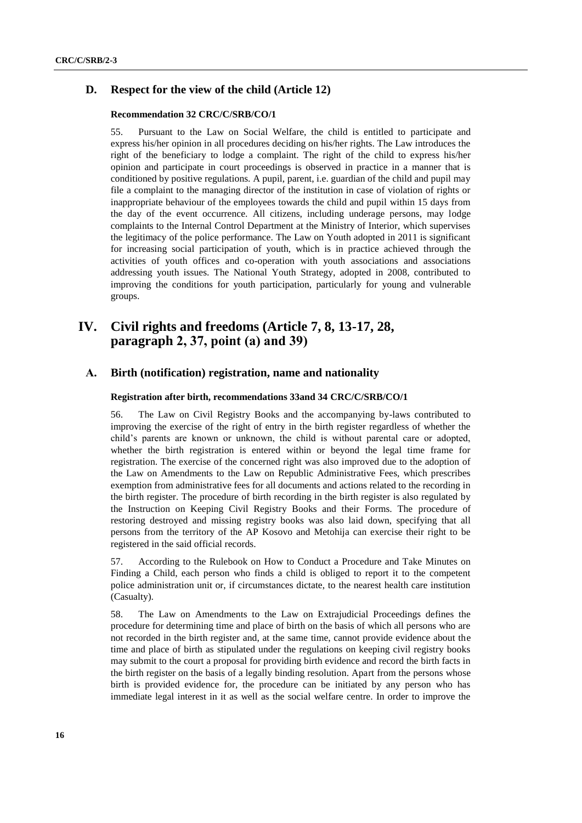## **D. Respect for the view of the child (Article 12)**

#### **Recommendation 32 CRC/C/SRB/CO/1**

55. Pursuant to the Law on Social Welfare, the child is entitled to participate and express his/her opinion in all procedures deciding on his/her rights. The Law introduces the right of the beneficiary to lodge a complaint. The right of the child to express his/her opinion and participate in court proceedings is observed in practice in a manner that is conditioned by positive regulations. A pupil, parent, i.e. guardian of the child and pupil may file a complaint to the managing director of the institution in case of violation of rights or inappropriate behaviour of the employees towards the child and pupil within 15 days from the day of the event occurrence. All citizens, including underage persons, may lodge complaints to the Internal Control Department at the Ministry of Interior, which supervises the legitimacy of the police performance. The Law on Youth adopted in 2011 is significant for increasing social participation of youth, which is in practice achieved through the activities of youth offices and co-operation with youth associations and associations addressing youth issues. The National Youth Strategy, adopted in 2008, contributed to improving the conditions for youth participation, particularly for young and vulnerable groups.

## **IV. Civil rights and freedoms (Article 7, 8, 13-17, 28, paragraph 2, 37, point (а) and 39)**

### **А. Birth (notification) registration, name and nationality**

#### **Registration after birth, recommendations 33and 34 CRC/C/SRB/CO/1**

56. The Law on Civil Registry Books and the accompanying by-laws contributed to improving the exercise of the right of entry in the birth register regardless of whether the child's parents are known or unknown, the child is without parental care or adopted, whether the birth registration is entered within or beyond the legal time frame for registration. The exercise of the concerned right was also improved due to the adoption of the Law on Amendments to the Law on Republic Administrative Fees, which prescribes exemption from administrative fees for all documents and actions related to the recording in the birth register. The procedure of birth recording in the birth register is also regulated by the Instruction on Keeping Civil Registry Books and their Forms. The procedure of restoring destroyed and missing registry books was also laid down, specifying that all persons from the territory of the AP Kosovo and Metohija can exercise their right to be registered in the said official records.

57. According to the Rulebook on How to Conduct a Procedure and Take Minutes on Finding a Child, each person who finds a child is obliged to report it to the competent police administration unit or, if circumstances dictate, to the nearest health care institution (Casualty).

58. The Law on Amendments to the Law on Extrajudicial Proceedings defines the procedure for determining time and place of birth on the basis of which all persons who are not recorded in the birth register and, at the same time, cannot provide evidence about the time and place of birth as stipulated under the regulations on keeping civil registry books may submit to the court a proposal for providing birth evidence and record the birth facts in the birth register on the basis of a legally binding resolution. Apart from the persons whose birth is provided evidence for, the procedure can be initiated by any person who has immediate legal interest in it as well as the social welfare centre. In order to improve the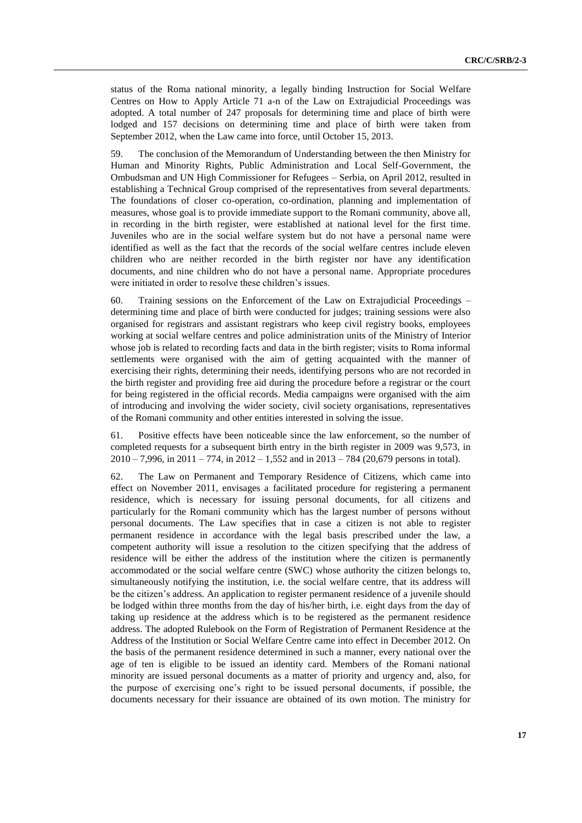status of the Roma national minority, a legally binding Instruction for Social Welfare Centres on How to Apply Article 71 a-n of the Law on Extrajudicial Proceedings was adopted. A total number of 247 proposals for determining time and place of birth were lodged and 157 decisions on determining time and place of birth were taken from September 2012, when the Law came into force, until October 15, 2013.

59. The conclusion of the Memorandum of Understanding between the then Ministry for Human and Minority Rights, Public Administration and Local Self-Government, the Ombudsman and UN High Commissioner for Refugees – Serbia, on April 2012, resulted in establishing a Technical Group comprised of the representatives from several departments. The foundations of closer co-operation, co-ordination, planning and implementation of measures, whose goal is to provide immediate support to the Romani community, above all, in recording in the birth register, were established at national level for the first time. Juveniles who are in the social welfare system but do not have a personal name were identified as well as the fact that the records of the social welfare centres include eleven children who are neither recorded in the birth register nor have any identification documents, and nine children who do not have a personal name. Appropriate procedures were initiated in order to resolve these children's issues.

60. Training sessions on the Enforcement of the Law on Extrajudicial Proceedings – determining time and place of birth were conducted for judges; training sessions were also organised for registrars and assistant registrars who keep civil registry books, employees working at social welfare centres and police administration units of the Ministry of Interior whose job is related to recording facts and data in the birth register; visits to Roma informal settlements were organised with the aim of getting acquainted with the manner of exercising their rights, determining their needs, identifying persons who are not recorded in the birth register and providing free aid during the procedure before a registrar or the court for being registered in the official records. Media campaigns were organised with the aim of introducing and involving the wider society, civil society organisations, representatives of the Romani community and other entities interested in solving the issue.

61. Positive effects have been noticeable since the law enforcement, so the number of completed requests for a subsequent birth entry in the birth register in 2009 was 9,573, in  $2010 - 7,996$ , in  $2011 - 774$ , in  $2012 - 1,552$  and in  $2013 - 784$  (20,679 persons in total).

62. The Law on Permanent and Temporary Residence of Citizens, which came into effect on November 2011, envisages a facilitated procedure for registering a permanent residence, which is necessary for issuing personal documents, for all citizens and particularly for the Romani community which has the largest number of persons without personal documents. The Law specifies that in case a citizen is not able to register permanent residence in accordance with the legal basis prescribed under the law, a competent authority will issue a resolution to the citizen specifying that the address of residence will be either the address of the institution where the citizen is permanently accommodated or the social welfare centre (SWC) whose authority the citizen belongs to, simultaneously notifying the institution, i.e. the social welfare centre, that its address will be the citizen's address. An application to register permanent residence of a juvenile should be lodged within three months from the day of his/her birth, i.e. eight days from the day of taking up residence at the address which is to be registered as the permanent residence address. The adopted Rulebook on the Form of Registration of Permanent Residence at the Address of the Institution or Social Welfare Centre came into effect in December 2012. On the basis of the permanent residence determined in such a manner, every national over the age of ten is eligible to be issued an identity card. Members of the Romani national minority are issued personal documents as a matter of priority and urgency and, also, for the purpose of exercising one's right to be issued personal documents, if possible, the documents necessary for their issuance are obtained of its own motion. The ministry for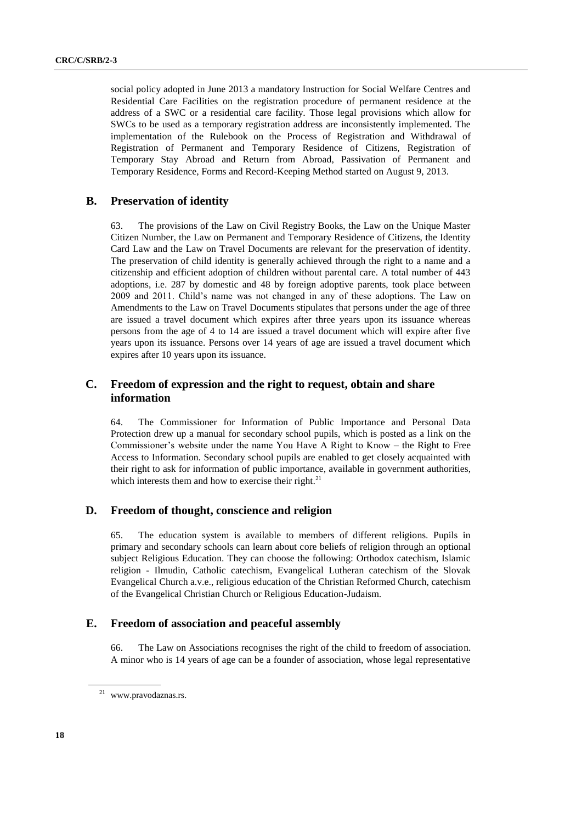social policy adopted in June 2013 a mandatory Instruction for Social Welfare Centres and Residential Care Facilities on the registration procedure of permanent residence at the address of a SWC or a residential care facility. Those legal provisions which allow for SWCs to be used as a temporary registration address are inconsistently implemented. The implementation of the Rulebook on the Process of Registration and Withdrawal of Registration of Permanent and Temporary Residence of Citizens, Registration of Temporary Stay Abroad and Return from Abroad, Passivation of Permanent and Temporary Residence, Forms and Record-Keeping Method started on August 9, 2013.

## **B. Preservation of identity**

63. The provisions of the Law on Civil Registry Books, the Law on the Unique Master Citizen Number, the Law on Permanent and Temporary Residence of Citizens, the Identity Card Law and the Law on Travel Documents are relevant for the preservation of identity. The preservation of child identity is generally achieved through the right to a name and a citizenship and efficient adoption of children without parental care. A total number of 443 adoptions, i.e. 287 by domestic and 48 by foreign adoptive parents, took place between 2009 and 2011. Child's name was not changed in any of these adoptions. The Law on Amendments to the Law on Travel Documents stipulates that persons under the age of three are issued a travel document which expires after three years upon its issuance whereas persons from the age of 4 to 14 are issued a travel document which will expire after five years upon its issuance. Persons over 14 years of age are issued a travel document which expires after 10 years upon its issuance.

## **C. Freedom of expression and the right to request, obtain and share information**

64. The Commissioner for Information of Public Importance and Personal Data Protection drew up a manual for secondary school pupils, which is posted as a link on the Commissioner's website under the name You Have A Right to Know – the Right to Free Access to Information. Secondary school pupils are enabled to get closely acquainted with their right to ask for information of public importance, available in government authorities, which interests them and how to exercise their right.<sup>21</sup>

### **D. Freedom of thought, conscience and religion**

65. The education system is available to members of different religions. Pupils in primary and secondary schools can learn about core beliefs of religion through an optional subject Religious Education. They can choose the following: Orthodox catechism, Islamic religion - Ilmudin, Catholic catechism, Evangelical Lutheran catechism of the Slovak Evangelical Church a.v.e., religious education of the Christian Reformed Church, catechism of the Evangelical Christian Church or Religious Education-Judaism.

#### **E. Freedom of association and peaceful assembly**

66. The Law on Associations recognises the right of the child to freedom of association. A minor who is 14 years of age can be a founder of association, whose legal representative

<sup>21</sup> [www.pravodaznas.rs.](http://www.pravodaznas.rs/)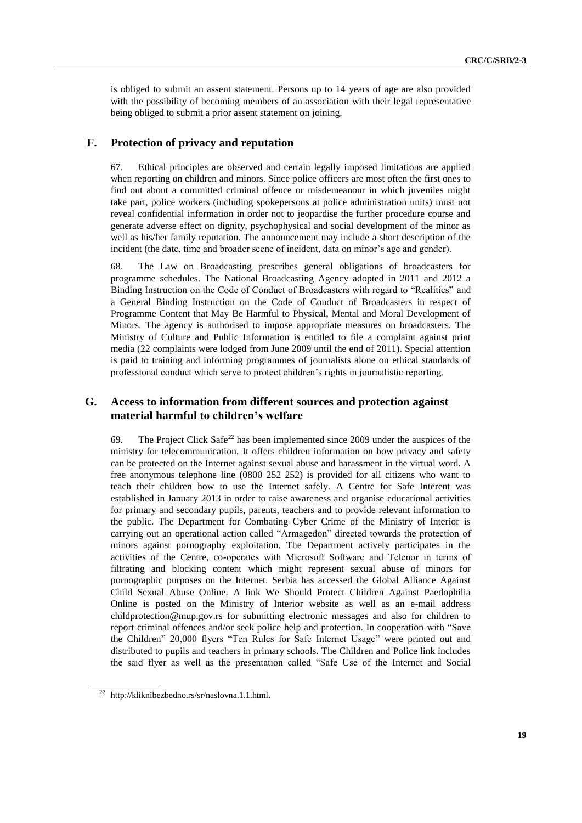is obliged to submit an assent statement. Persons up to 14 years of age are also provided with the possibility of becoming members of an association with their legal representative being obliged to submit a prior assent statement on joining.

### **F. Protection of privacy and reputation**

67. Ethical principles are observed and certain legally imposed limitations are applied when reporting on children and minors. Since police officers are most often the first ones to find out about a committed criminal offence or misdemeanour in which juveniles might take part, police workers (including spokepersons at police administration units) must not reveal confidential information in order not to jeopardise the further procedure course and generate adverse effect on dignity, psychophysical and social development of the minor as well as his/her family reputation. The announcement may include a short description of the incident (the date, time and broader scene of incident, data on minor's age and gender).

68. The Law on Broadcasting prescribes general obligations of broadcasters for programme schedules. The National Broadcasting Agency adopted in 2011 and 2012 a Binding Instruction on the Code of Conduct of Broadcasters with regard to "Realities" and a General Binding Instruction on the Code of Conduct of Broadcasters in respect of Programme Content that May Be Harmful to Physical, Mental and Moral Development of Minors. The agency is authorised to impose appropriate measures on broadcasters. The Ministry of Culture and Public Information is entitled to file a complaint against print media (22 complaints were lodged from June 2009 until the end of 2011). Special attention is paid to training and informing programmes of journalists alone on ethical standards of professional conduct which serve to protect children's rights in journalistic reporting.

## **G. Access to information from different sources and protection against material harmful to children's welfare**

69. The Project Click Safe<sup>22</sup> has been implemented since 2009 under the auspices of the ministry for telecommunication. It offers children information on how privacy and safety can be protected on the Internet against sexual abuse and harassment in the virtual word. A free anonymous telephone line (0800 252 252) is provided for all citizens who want to teach their children how to use the Internet safely. A Centre for Safe Interent was established in January 2013 in order to raise awareness and organise educational activities for primary and secondary pupils, parents, teachers and to provide relevant information to the public. The Department for Combating Cyber Crime of the Ministry of Interior is carrying out an operational action called "Armagedon" directed towards the protection of minors against pornography exploitation. The Department actively participates in the activities of the Centre, co-operates with Мicrosoft Software and Telenor in terms of filtrating and blocking content which might represent sexual abuse of minors for pornographic purposes on the Internet. Serbia has accessed the Global Alliance Against Child Sexual Abuse Online. A link We Should Protect Children Against Paedophilia Online is posted on the Ministry of Interior website as well as an e-mail address [childprotection@mup.gov.rs](mailto:childprotection@mup.gov.rs) for submitting electronic messages and also for children to report criminal offences and/or seek police help and protection. In cooperation with "Save the Children" 20,000 flyers "Ten Rules for Safe Internet Usage" were printed out and distributed to pupils and teachers in primary schools. The Children and Police link includes the said flyer as well as the presentation called "Safe Use of the Internet and Social

<sup>22</sup> [http://kliknibezbedno.rs/sr/naslovna.1.1.html.](http://kliknibezbedno.rs/sr/naslovna.1.1.html)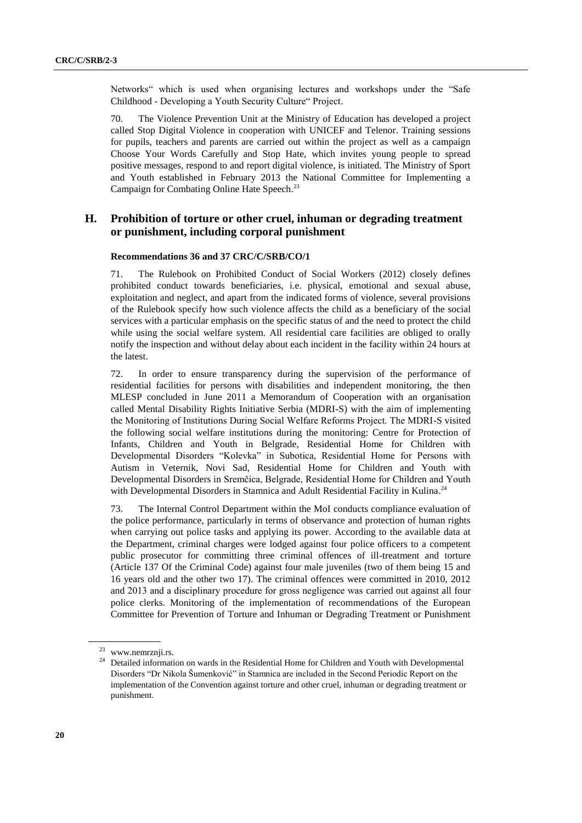Networks" which is used when organising lectures and workshops under the "Safe Childhood - Developing a Youth Security Culture" Project.

70. The Violence Prevention Unit at the Ministry of Education has developed a project called Stop Digital Violence in cooperation with UNICEF and Telenor. Training sessions for pupils, teachers and parents are carried out within the project as well as a campaign Choose Your Words Carefully and Stop Hate, which invites young people to spread positive messages, respond to and report digital violence, is initiated. The Ministry of Sport and Youth established in February 2013 the National Committee for Implementing a Campaign for Combating Online Hate Speech.<sup>23</sup>

## **H. Prohibition of torture or other cruel, inhuman or degrading treatment or punishment, including corporal punishment**

#### **Recommendations 36 and 37 CRC/C/SRB/CO/1**

71. The Rulebook on Prohibited Conduct of Social Workers (2012) closely defines prohibited conduct towards beneficiaries, i.e. physical, emotional and sexual abuse, exploitation and neglect, and apart from the indicated forms of violence, several provisions of the Rulebook specify how such violence affects the child as a beneficiary of the social services with a particular emphasis on the specific status of and the need to protect the child while using the social welfare system. All residential care facilities are obliged to orally notify the inspection and without delay about each incident in the facility within 24 hours at the latest.

72. In order to ensure transparency during the supervision of the performance of residential facilities for persons with disabilities and independent monitoring, the then MLESP concluded in June 2011 a Memorandum of Cooperation with an organisation called Mental Disability Rights Initiative Serbia (MDRI-S) with the aim of implementing the Monitoring of Institutions During Social Welfare Refоrms Project. The MDRI-S visited the following social welfare institutions during the monitoring: Centre for Protection of Infants, Children and Youth in Belgrade, Residential Home for Children with Developmental Disorders "Kolevka" in Subotica, Residential Home for Persons with Autism in Veternik, Novi Sad, Residential Home for Children and Youth with Developmental Disorders in Sremčica, Belgrade, Residential Home for Children and Youth with Developmental Disorders in Stamnica and Adult Residential Facility in Kulina.<sup>24</sup>

73. The Internal Control Department within the MoI conducts compliance evaluation of the police performance, particularly in terms of observance and protection of human rights when carrying out police tasks and applying its power. According to the available data at the Department, criminal charges were lodged against four police officers to a competent public prosecutor for committing three criminal offences of ill-treatment and torture (Article 137 Of the Criminal Code) against four male juveniles (two of them being 15 and 16 years old and the other two 17). The criminal offences were committed in 2010, 2012 and 2013 and а disciplinary procedure for gross negligence was carried out against all four police clerks. Monitoring of the implementation of recommendations of the European Committee for Prevention of Torture and Inhuman or Degrading Treatment or Punishment

<sup>23</sup> [www.nemrznji.rs.](http://www.nemrznji.rs/)

<sup>&</sup>lt;sup>24</sup> Detailed information on wards in the Residential Home for Children and Youth with Developmental Disorders "Dr Nikola Šumenković" in Stamnica are included in the Second Periodic Report on the implementation of the Convention against torture and other cruel, inhuman or degrading treatment or punishment.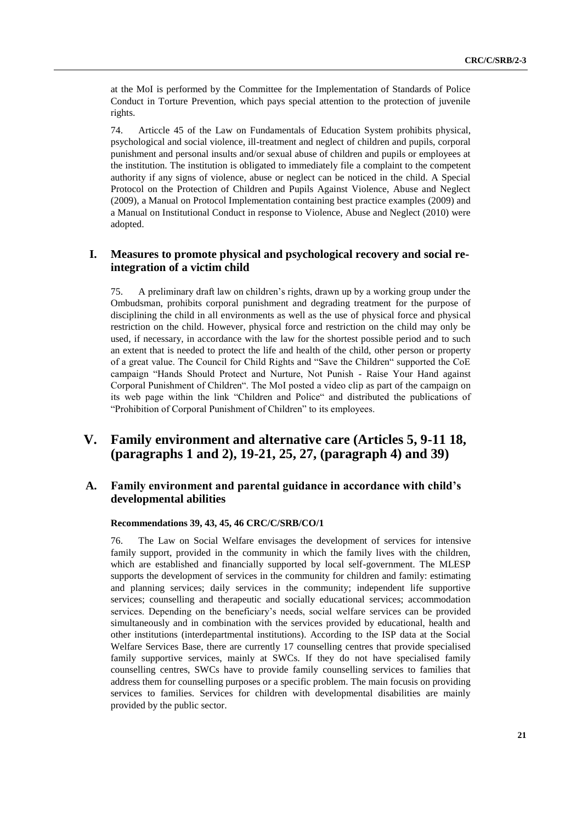at the MoI is performed by the Committee for the Implementation of Standards of Police Conduct in Torture Prevention, which pays special attention to the protection of juvenile rights.

74. Articcle 45 of the Law on Fundamentals of Education System prohibits physical, psychological and social violence, ill-treatment and neglect of children and pupils, corporal punishment and personal insults and/or sexual abuse of children and pupils or employees at the institution. The institution is obligated to immediately file a complaint to the competent authority if any signs of violence, abuse or neglect can be noticed in the child. A Special Protocol on the Protection of Children and Pupils Against Violence, Abuse and Neglect (2009), a Manual on Protocol Implementation containing best practice examples (2009) and a Manual on Institutional Conduct in response to Violence, Abuse and Neglect (2010) were adopted.

## **I. Measures to promote physical and psychological recovery and social reintegration of a victim child**

75. A preliminary draft law on children's rights, drawn up by a working group under the Ombudsman, prohibits corporal punishment and degrading treatment for the purpose of disciplining the child in all environments as well as the use of physical force and physical restriction on the child. However, physical force and restriction on the child may only be used, if necessary, in accordance with the law for the shortest possible period and to such an extent that is needed to protect the life and health of the child, other person or property of a great value. The Council for Child Rights and "Save the Children" supported the CoE campaign "Hands Should Protect and Nurture, Not Punish - Raise Your Hand against Corporal Punishment of Children". The MoI posted a video clip as part of the campaign on its web page within the link "Children and Police" and distributed the publications of "Prohibition of Corporal Punishment of Children" to its employees.

## **V. Family environment and alternative care (Articles 5, 9-11 18, (paragraphs 1 and 2), 19-21, 25, 27, (paragraph 4) and 39)**

## **A. Family environment and parental guidance in accordance with child's developmental abilities**

#### **Recommendations 39, 43, 45, 46 CRC/C/SRB/CO/1**

76. The Law on Social Welfare envisages the development of services for intensive family support, provided in the community in which the family lives with the children, which are established and financially supported by local self-government. The MLESP supports the development of services in the community for children and family: estimating and planning services; daily services in the community; independent life supportive services; counselling and therapeutic and socially educational services; accommodation services. Depending on the beneficiary's needs, social welfare services can be provided simultaneously and in combination with the services provided by educational, health and other institutions (interdepartmental institutions). According to the ISP data at the Social Welfare Services Base, there are currently 17 counselling centres that provide specialised family supportive services, mainly at SWCs. If they do not have specialised family counselling centres, SWCs have to provide family counselling services to families that address them for counselling purposes or a specific problem. The main focusis on providing services to families. Services for children with developmental disabilities are mainly provided by the public sector.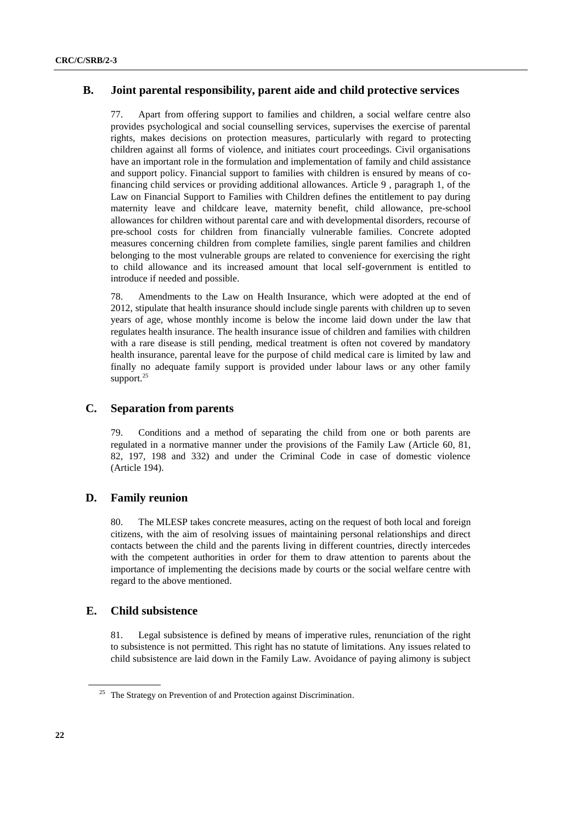## **B. Joint parental responsibility, parent aide and child protective services**

77. Apart from offering support to families and children, a social welfare centre also provides psychological and social counselling services, supervises the exercise of parental rights, makes decisions on protection measures, particularly with regard to protecting children against all forms of violence, and initiates court proceedings. Civil organisations have an important role in the formulation and implementation of family and child assistance and support policy. Financial support to families with children is ensured by means of cofinancing child services or providing additional allowances. Article 9 , paragraph 1, of the Law on Financial Support to Families with Children defines the entitlement to pay during maternity leave and childcare leave, maternity benefit, child allowance, pre-school allowances for children without parental care and with developmental disorders, recourse of pre-school costs for children from financially vulnerable families. Concrete adopted measures concerning children from complete families, single parent families and children belonging to the most vulnerable groups are related to convenience for exercising the right to child allowance and its increased amount that local self-government is entitled to introduce if needed and possible.

78. Amendments to the Law on Health Insurance, which were adopted at the end of 2012, stipulate that health insurance should include single parents with children up to seven years of age, whose monthly income is below the income laid down under the law that regulates health insurance. The health insurance issue of children and families with children with a rare disease is still pending, medical treatment is often not covered by mandatory health insurance, parental leave for the purpose of child medical care is limited by law and finally no adequate family support is provided under labour laws or any other family support. $25$ 

## **C. Separation from parents**

79. Conditions and a method of separating the child from one or both parents are regulated in a normative manner under the provisions of the Family Law (Article 60, 81, 82, 197, 198 and 332) and under the Criminal Code in case of domestic violence (Article 194).

## **D. Family reunion**

80. The MLESP takes concrete measures, acting on the request of both local and foreign citizens, with the aim of resolving issues of maintaining personal relationships and direct contacts between the child and the parents living in different countries, directly intercedes with the competent authorities in order for them to draw attention to parents about the importance of implementing the decisions made by courts or the social welfare centre with regard to the above mentioned.

#### **E. Child subsistence**

81. Legal subsistence is defined by means of imperative rules, renunciation of the right to subsistence is not permitted. This right has no statute of limitations. Any issues related to child subsistence are laid down in the Family Law. Avoidance of paying alimony is subject

<sup>&</sup>lt;sup>25</sup> The Strategy on Prevention of and Protection against Discrimination.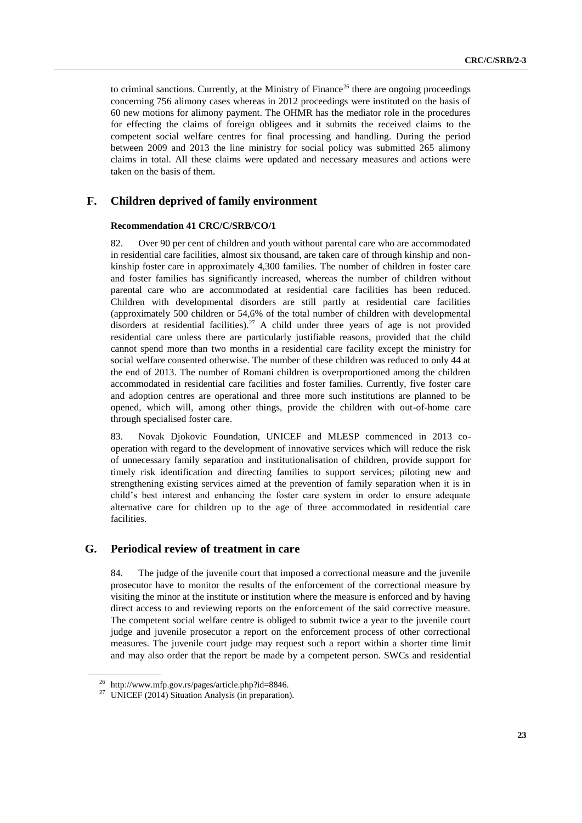to criminal sanctions. Currently, at the Ministry of Finance<sup>26</sup> there are ongoing proceedings concerning 756 alimony cases whereas in 2012 proceedings were instituted on the basis of 60 new motions for alimony payment. The OHMR has the mediator role in the procedures for effecting the claims of foreign obligees and it submits the received claims to the competent social welfare centres for final processing and handling. During the period between 2009 and 2013 the line ministry for social policy was submitted 265 alimony claims in total. All these claims were updated and necessary measures and actions were taken on the basis of them.

## **F. Children deprived of family environment**

#### **Recommendation 41 CRC/C/SRB/CO/1**

82. Over 90 per cent of children and youth without parental care who are accommodated in residential care facilities, almost six thousand, are taken care of through kinship and nonkinship foster care in approximately 4,300 families. The number of children in foster care and foster families has significantly increased, whereas the number of children without parental care who are accommodated at residential care facilities has been reduced. Children with developmental disorders are still partly at residential care facilities (approximately 500 children or 54,6% of the total number of children with developmental disorders at residential facilities).<sup>27</sup> A child under three years of age is not provided residential care unless there are particularly justifiable reasons, provided that the child cannot spend more than two months in a residential care facility except the ministry for social welfare consented otherwise. The number of these children was reduced to only 44 at the end of 2013. The number of Romani children is overproportioned among the children accommodated in residential care facilities and foster families. Currently, five foster care and adoption centres are operational and three more such institutions are planned to be opened, which will, among other things, provide the children with out-of-home care through specialised foster care.

83. Novak Djokovic Foundation, UNICEF and MLESP commenced in 2013 cooperation with regard to the development of innovative services which will reduce the risk of unnecessary family separation and institutionalisation of children, provide support for timely risk identification and directing families to support services; piloting new and strengthening existing services aimed at the prevention of family separation when it is in child's best interest and enhancing the foster care system in order to ensure adequate alternative care for children up to the age of three accommodated in residential care facilities.

## **G. Periodical review of treatment in care**

84. The judge of the juvenile court that imposed a correctional measure and the juvenile prosecutor have to monitor the results of the enforcement of the correctional measure by visiting the minor at the institute or institution where the measure is enforced and by having direct access to and reviewing reports on the enforcement of the said corrective measure. The competent social welfare centre is obliged to submit twice a year to the juvenile court judge and juvenile prosecutor a report on the enforcement process of other correctional measures. The juvenile court judge may request such a report within a shorter time limit and may also order that the report be made by a competent person. SWCs and residential

<sup>26</sup> [http://www.mfp.gov.rs/pages/article.php?id=8846.](http://www.mfp.gov.rs/pages/article.php?id=8846)

<sup>&</sup>lt;sup>27</sup> UNICEF (2014) Situation Analysis (in preparation).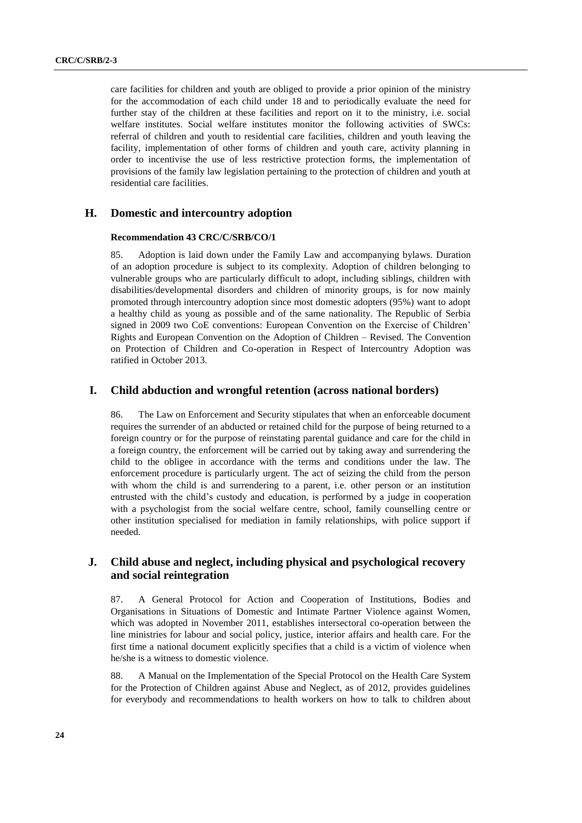care facilities for children and youth are obliged to provide a prior opinion of the ministry for the accommodation of each child under 18 and to periodically evaluate the need for further stay of the children at these facilities and report on it to the ministry, i.e. social welfare institutes. Social welfare institutes monitor the following activities of SWCs: referral of children and youth to residential care facilities, children and youth leaving the facility, implementation of other forms of children and youth care, activity planning in order to incentivise the use of less restrictive protection forms, the implementation of provisions of the family law legislation pertaining to the protection of children and youth at residential care facilities.

## **H. Domestic and intercountry adoption**

#### **Recommendation 43 CRC/C/SRB/CO/1**

85. Adoption is laid down under the Family Law and accompanying bylaws. Duration of an adoption procedure is subject to its complexity. Adoption of children belonging to vulnerable groups who are particularly difficult to adopt, including siblings, children with disabilities/developmental disorders and children of minority groups, is for now mainly promoted through intercountry adoption since most domestic adopters (95%) want to adopt a healthy child as young as possible and of the same nationality. The Republic of Serbia signed in 2009 two CoE conventions: European Convention on the Exercise of Children' Rights and European Convention on the Adoption of Children – Revised. The Convention on Protection of Children and Co-operation in Respect of Intercountry Adoption was ratified in October 2013.

### **I. Child abduction and wrongful retention (across national borders)**

86. The Law on Enforcement and Security stipulates that when an enforceable document requires the surrender of an abducted or retained child for the purpose of being returned to a foreign country or for the purpose of reinstating parental guidance and care for the child in a foreign country, the enforcement will be carried out by taking away and surrendering the child to the obligee in accordance with the terms and conditions under the law. The enforcement procedure is particularly urgent. The act of seizing the child from the person with whom the child is and surrendering to a parent, i.e. other person or an institution entrusted with the child's custody and education, is performed by a judge in cooperation with a psychologist from the social welfare centre, school, family counselling centre or other institution specialised for mediation in family relationships, with police support if needed.

## **J. Child abuse and neglect, including physical and psychological recovery and social reintegration**

87. A General Protocol for Action and Cooperation of Institutions, Bodies and Organisations in Situations of Domestic and Intimate Partner Violence against Women, which was adopted in November 2011, establishes intersectoral co-operation between the line ministries for labour and social policy, justice, interior affairs and health care. For the first time a national document explicitly specifies that a child is a victim of violence when he/she is a witness to domestic violence.

88. A Manual on the Implementation of the Special Protocol on the Health Care System for the Protection of Children against Abuse and Neglect, as of 2012, provides guidelines for everybody and recommendations to health workers on how to talk to children about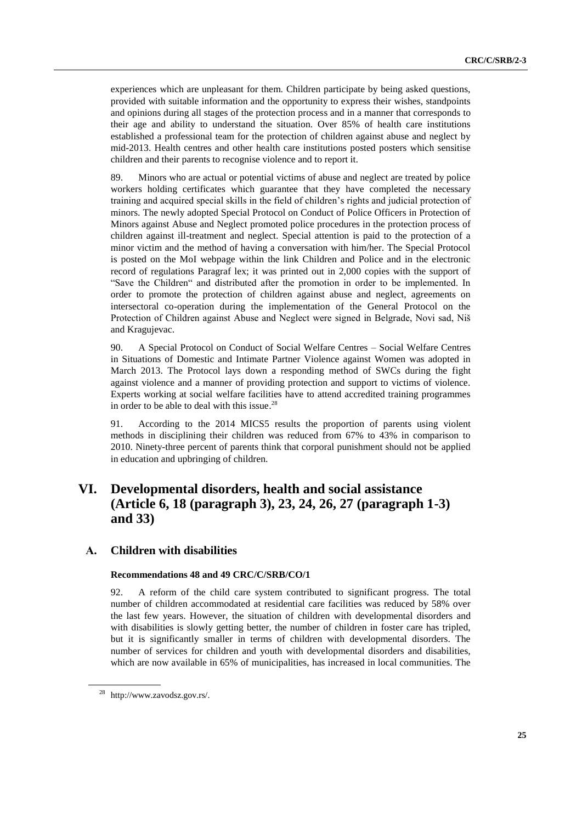experiences which are unpleasant for them. Children participate by being asked questions, provided with suitable information and the opportunity to express their wishes, standpoints and opinions during all stages of the protection process and in a manner that corresponds to their age and ability to understand the situation. Over 85% of health care institutions established a professional team for the protection of children against abuse and neglect by mid-2013. Health centres and other health care institutions posted posters which sensitise children and their parents to recognise violence and to report it.

89. Minors who are actual or potential victims of abuse and neglect are treated by police workers holding certificates which guarantee that they have completed the necessary training and acquired special skills in the field of children's rights and judicial protection of minors. The newly adopted Special Protocol on Conduct of Police Officers in Protection of Minors against Abuse and Neglect promoted police procedures in the protection process of children against ill-treatment and neglect. Special attention is paid to the protection of a minor victim and the method of having a conversation with him/her. The Special Protocol is posted on the MoI webpage within the link Children and Police and in the electronic record of regulations Paragraf lex; it was printed out in 2,000 copies with the support of "Save the Children" and distributed after the promotion in order to be implemented. In order to promote the protection of children against abuse and neglect, agreements on intersectoral co-operation during the implementation of the General Protocol on the Protection of Children against Abuse and Neglect were signed in Belgrade, Novi sad, Niš and Kragujevac.

90. A Special Protocol on Conduct of Social Welfare Centres – Social Welfare Centres in Situations of Domestic and Intimate Partner Violence against Women was adopted in March 2013. The Protocol lays down a responding method of SWCs during the fight against violence and a manner of providing protection and support to victims of violence. Experts working at social welfare facilities have to attend accredited training programmes in order to be able to deal with this issue. 28

91. According to the 2014 MICS5 results the proportion of parents using violent methods in disciplining their children was reduced from 67% to 43% in comparison to 2010. Ninety-three percent of parents think that corporal punishment should not be applied in education and upbringing of children.

## **VI. Developmental disorders, health and social assistance (Article 6, 18 (paragraph 3), 23, 24, 26, 27 (paragraph 1-3) and 33)**

#### **А. Children with disabilities**

#### **Recommendations 48 and 49 CRC/C/SRB/CO/1**

92. A reform of the child care system contributed to significant progress. The total number of children accommodated at residential care facilities was reduced by 58% over the last few years. However, the situation of children with developmental disorders and with disabilities is slowly getting better, the number of children in foster care has tripled, but it is significantly smaller in terms of children with developmental disorders. The number of services for children and youth with developmental disorders and disabilities, which are now available in 65% of municipalities, has increased in local communities. The

<sup>28</sup> [http://www.zavodsz.gov.rs/.](http://www.zavodsz.gov.rs/)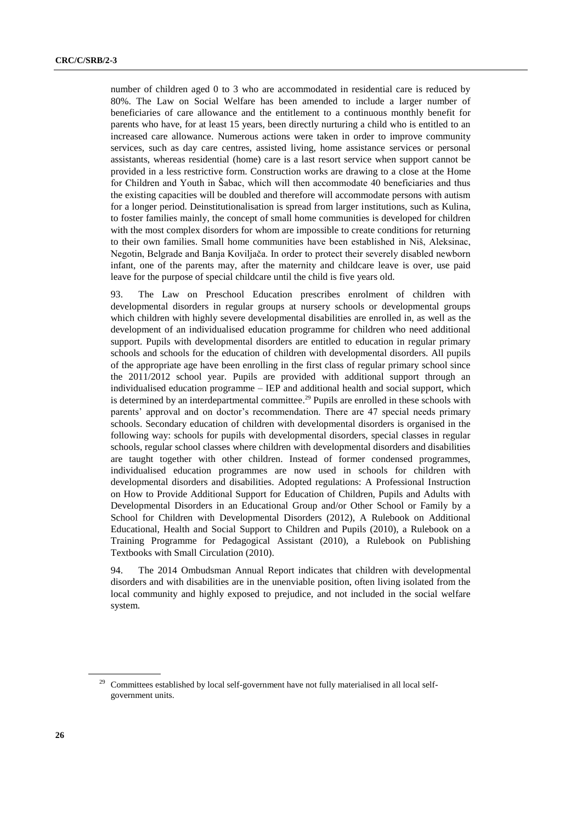number of children aged 0 to 3 who are accommodated in residential care is reduced by 80%. The Law on Social Welfare has been amended to include a larger number of beneficiaries of care allowance and the entitlement to a continuous monthly benefit for parents who have, for at least 15 years, been directly nurturing a child who is entitled to an increased care allowance. Numerous actions were taken in order to improve community services, such as day care centres, assisted living, home assistance services or personal assistants, whereas residential (home) care is a last resort service when support cannot be provided in a less restrictive form. Construction works are drawing to a close at the Home for Children and Youth in Šabac, which will then accommodate 40 beneficiaries and thus the existing capacities will be doubled and therefore will accommodate persons with autism for a longer period. Deinstitutionalisation is spread from larger institutions, such as Kulina, to foster families mainly, the concept of small home communities is developed for children with the most complex disorders for whom are impossible to create conditions for returning to their own families. Small home communities have been established in Niš, Aleksinac, Negotin, Belgrade and Banja Koviljača. In order to protect their severely disabled newborn infant, one of the parents may, after the maternity and childcare leave is over, use paid leave for the purpose of special childcare until the child is five years old.

93. The Law on Preschool Education prescribes enrolment of children with developmental disorders in regular groups at nursery schools or developmental groups which children with highly severe developmental disabilities are enrolled in, as well as the development of an individualised education programme for children who need additional support. Pupils with developmental disorders are entitled to education in regular primary schools and schools for the education of children with developmental disorders. All pupils of the appropriate age have been enrolling in the first class of regular primary school since the 2011/2012 school year. Pupils are provided with additional support through an individualised education programme – IEP and additional health and social support, which is determined by an interdepartmental committee.<sup>29</sup> Pupils are enrolled in these schools with parents' approval and on doctor's recommendation. There are 47 special needs primary schools. Secondary education of children with developmental disorders is organised in the following way: schools for pupils with developmental disorders, special classes in regular schools, regular school classes where children with developmental disorders and disabilities are taught together with other children. Instead of former condensed programmes, individualised education programmes are now used in schools for children with developmental disorders and disabilities. Adopted regulations: A Professional Instruction on How to Provide Additional Support for Education of Children, Pupils and Adults with Developmental Disorders in an Educational Group and/or Other School or Family by a School for Children with Developmental Disorders (2012), A Rulebook on Additional Educational, Health and Social Support to Children and Pupils (2010), a Rulebook on a Training Programme for Pedagogical Assistant (2010), a Rulebook on Publishing Textbooks with Small Circulation (2010).

94. The 2014 Ombudsman Annual Report indicates that children with developmental disorders and with disabilities are in the unenviable position, often living isolated from the local community and highly exposed to prejudice, and not included in the social welfare system.

<sup>&</sup>lt;sup>29</sup> Committees established by local self-government have not fully materialised in all local selfgovernment units.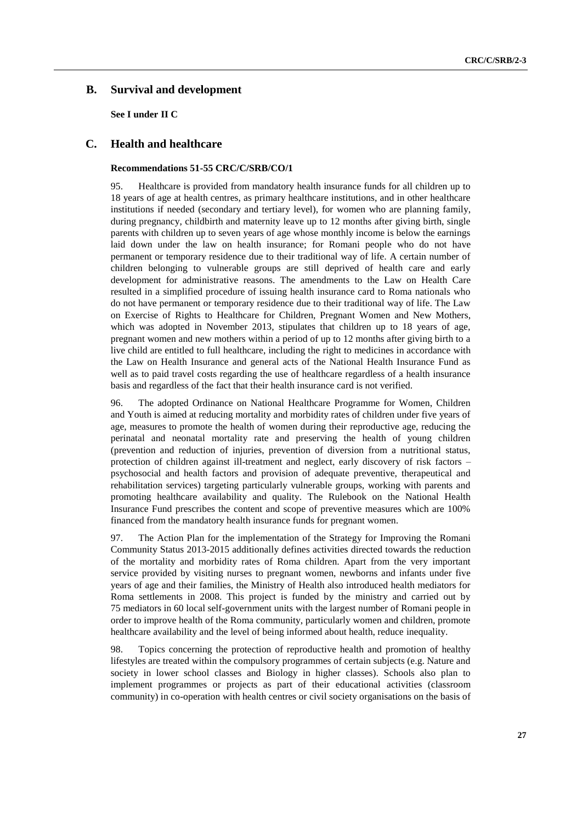## **B. Survival and development**

**See I under II C**

## **C. Health and healthcare**

#### **Recommendations 51-55 CRC/C/SRB/CO/1**

95. Healthcare is provided from mandatory health insurance funds for all children up to 18 years of age at health centres, as primary healthcare institutions, and in other healthcare institutions if needed (secondary and tertiary level), for women who are planning family, during pregnancy, childbirth and maternity leave up to 12 months after giving birth, single parents with children up to seven years of age whose monthly income is below the earnings laid down under the law on health insurance; for Romani people who do not have permanent or temporary residence due to their traditional way of life. A certain number of children belonging to vulnerable groups are still deprived of health care and early development for administrative reasons. The amendments to the Law on Health Care resulted in a simplified procedure of issuing health insurance card to Roma nationals who do not have permanent or temporary residence due to their traditional way of life. The Law on Exercise of Rights to Healthcare for Children, Pregnant Women and New Mothers, which was adopted in November 2013, stipulates that children up to 18 years of age, pregnant women and new mothers within a period of up to 12 months after giving birth to a live child are entitled to full healthcare, including the right to medicines in accordance with the Law on Health Insurance and general acts of the National Health Insurance Fund as well as to paid travel costs regarding the use of healthcare regardless of a health insurance basis and regardless of the fact that their health insurance card is not verified.

96. The adopted Ordinance on National Healthcare Programme for Women, Children and Youth is aimed at reducing mortality and morbidity rates of children under five years of age, measures to promote the health of women during their reproductive age, reducing the perinatal and neonatal mortality rate and preserving the health of young children (prevention and reduction of injuries, prevention of diversion from a nutritional status, protection of children against ill-treatment and neglect, early discovery of risk factors – psychosocial and health factors and provision of adequate preventive, therapeutical and rehabilitation services) targeting particularly vulnerable groups, working with parents and promoting healthcare availability and quality. The Rulebook on the National Health Insurance Fund prescribes the content and scope of preventive measures which are 100% financed from the mandatory health insurance funds for pregnant women.

97. The Action Plan for the implementation of the Strategy for Improving the Romani Community Status 2013-2015 additionally defines activities directed towards the reduction of the mortality and morbidity rates of Roma children. Apart from the very important service provided by visiting nurses to pregnant women, newborns and infants under five years of age and their families, the Ministry of Health also introduced health mediators for Roma settlements in 2008. This project is funded by the ministry and carried out by 75 mediators in 60 local self-government units with the largest number of Romani people in order to improve health of the Roma community, particularly women and children, promote healthcare availability and the level of being informed about health, reduce inequality.

98. Topics concerning the protection of reproductive health and promotion of healthy lifestyles are treated within the compulsory programmes of certain subjects (e.g. Nature and society in lower school classes and Biology in higher classes). Schools also plan to implement programmes or projects as part of their educational activities (classroom community) in co-operation with health centres or civil society organisations on the basis of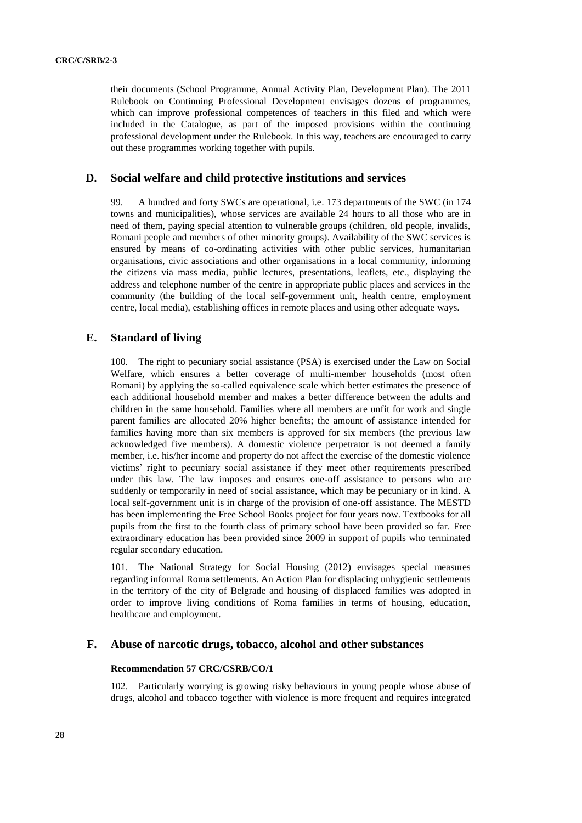their documents (School Programme, Annual Activity Plan, Development Plan). The 2011 Rulebook on Continuing Professional Development envisages dozens of programmes, which can improve professional competences of teachers in this filed and which were included in the Catalogue, as part of the imposed provisions within the continuing professional development under the Rulebook. In this way, teachers are encouraged to carry out these programmes working together with pupils.

### **D. Social welfare and child protective institutions and services**

99. A hundred and forty SWCs are operational, i.e. 173 departments of the SWC (in 174 towns and municipalities), whose services are available 24 hours to all those who are in need of them, paying special attention to vulnerable groups (children, old people, invalids, Romani people and members of other minority groups). Availability of the SWC services is ensured by means of co-ordinating activities with other public services, humanitarian organisations, civic associations and other organisations in a local community, informing the citizens via mass media, public lectures, presentations, leaflets, etc., displaying the address and telephone number of the centre in appropriate public places and services in the community (the building of the local self-government unit, health centre, employment centre, local media), establishing offices in remote places and using other adequate ways.

## **E. Standard of living**

100. The right to pecuniary social assistance (PSA) is exercised under the Law on Social Welfare, which ensures a better coverage of multi-member households (most often Romani) by applying the so-called equivalence scale which better estimates the presence of each additional household member and makes a better difference between the adults and children in the same household. Families where all members are unfit for work and single parent families are allocated 20% higher benefits; the amount of assistance intended for families having more than six members is approved for six members (the previous law acknowledged five members). A domestic violence perpetrator is not deemed a family member, i.e. his/her income and property do not affect the exercise of the domestic violence victims' right to pecuniary social assistance if they meet other requirements prescribed under this law. The law imposes and ensures one-off assistance to persons who are suddenly or temporarily in need of social assistance, which may be pecuniary or in kind. A local self-government unit is in charge of the provision of one-off assistance. The MESTD has been implementing the Free School Books project for four years now. Textbooks for all pupils from the first to the fourth class of primary school have been provided so far. Free extraordinary education has been provided since 2009 in support of pupils who terminated regular secondary education.

101. The National Strategy for Social Housing (2012) envisages special measures regarding informal Roma settlements. An Action Plan for displacing unhygienic settlements in the territory of the city of Belgrade and housing of displaced families was adopted in order to improve living conditions of Roma families in terms of housing, education, healthcare and employment.

#### **F. Abuse of narcotic drugs, tobacco, alcohol and other substances**

#### **Recommendation 57 CRC/CSRB/CO/1**

102. Particularly worrying is growing risky behaviours in young people whose abuse of drugs, alcohol and tobacco together with violence is more frequent and requires integrated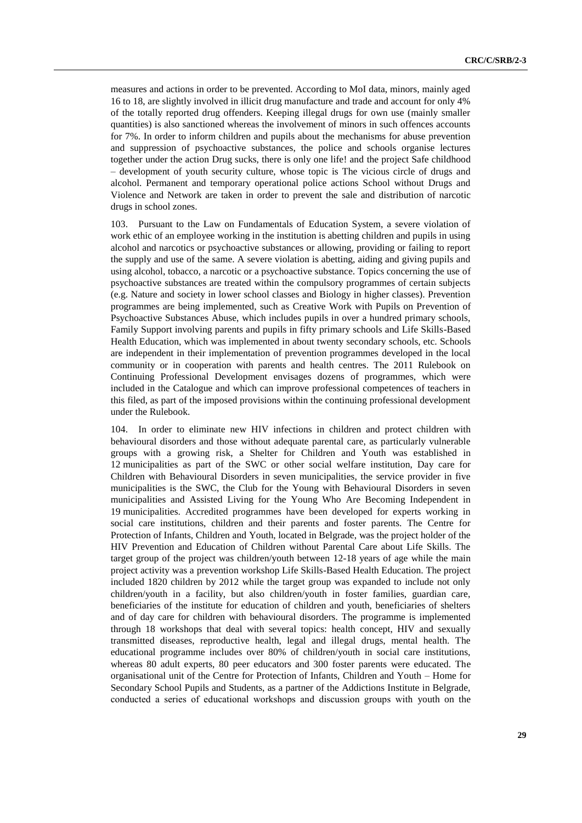measures and actions in order to be prevented. According to MoI data, minors, mainly aged 16 to 18, are slightly involved in illicit drug manufacture and trade and account for only 4% of the totally reported drug offenders. Keeping illegal drugs for own use (mainly smaller quantities) is also sanctioned whereas the involvement of minors in such offences accounts for 7%. In order to inform children and pupils about the mechanisms for abuse prevention and suppression of psychoactive substances, the police and schools organise lectures together under the action Drug sucks, there is only one life! and the project Safe childhood – development of youth security culture, whose topic is The vicious circle of drugs and alcohol. Permanent and temporary operational police actions School without Drugs and Violence and Network are taken in order to prevent the sale and distribution of narcotic drugs in school zones.

103. Pursuant to the Law on Fundamentals of Education System, a severe violation of work ethic of an employee working in the institution is abetting children and pupils in using alcohol and narcotics or psychoactive substances or allowing, providing or failing to report the supply and use of the same. A severe violation is abetting, aiding and giving pupils and using alcohol, tobacco, a narcotic or a psychoactive substance. Topics concerning the use of psychoactive substances are treated within the compulsory programmes of certain subjects (e.g. Nature and society in lower school classes and Biology in higher classes). Prevention programmes are being implemented, such as Creative Work with Pupils on Prevention of Psychoactive Substances Abuse, which includes pupils in over a hundred primary schools, Family Support involving parents and pupils in fifty primary schools and Life Skills-Based Health Education, which was implemented in about twenty secondary schools, etc. Schools are independent in their implementation of prevention programmes developed in the local community or in cooperation with parents and health centres. The 2011 Rulebook on Continuing Professional Development envisages dozens of programmes, which were included in the Catalogue and which can improve professional competences of teachers in this filed, as part of the imposed provisions within the continuing professional development under the Rulebook.

104. In order to eliminate new HIV infections in children and protect children with behavioural disorders and those without adequate parental care, as particularly vulnerable groups with a growing risk, a Shelter for Children and Youth was established in 12 municipalities as part of the SWC or other social welfare institution, Day care for Children with Behavioural Disorders in seven municipalities, the service provider in five municipalities is the SWC, the Club for the Young with Behavioural Disorders in seven municipalities and Assisted Living for the Young Who Are Becoming Independent in 19 municipalities. Accredited programmes have been developed for experts working in social care institutions, children and their parents and foster parents. The Centre for Protection of Infants, Children and Youth, located in Belgrade, was the project holder of the HIV Prevention and Education of Children without Parental Care about Life Skills. The target group of the project was children/youth between 12-18 years of age while the main project activity was a prevention workshop Life Skills-Based Health Education. The project included 1820 children by 2012 while the target group was expanded to include not only children/youth in a facility, but also children/youth in foster families, guardian care, beneficiaries of the institute for education of children and youth, beneficiaries of shelters and of day care for children with behavioural disorders. The programme is implemented through 18 workshops that deal with several topics: health concept, HIV and sexually transmitted diseases, reproductive health, legal and illegal drugs, mental health. The educational programme includes over 80% of children/youth in social care institutions, whereas 80 adult experts, 80 peer educators and 300 foster parents were educated. The organisational unit of the Centre for Protection of Infants, Children and Youth – Home for Secondary School Pupils and Students, as a partner of the Addictions Institute in Belgrade, conducted a series of educational workshoрs and discussion groups with youth on the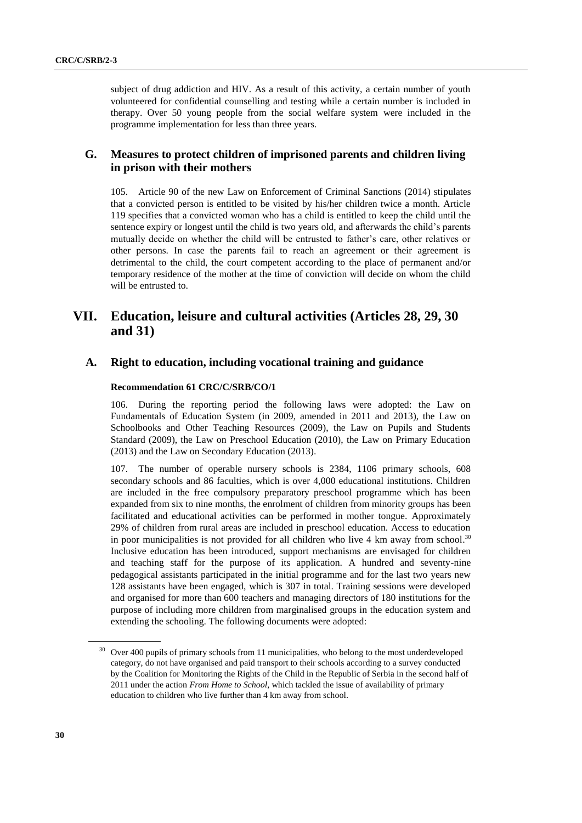subject of drug addiction and HIV. As a result of this activity, a certain number of youth volunteered for confidential counselling and testing while a certain number is included in therapy. Over 50 young people from the social welfare system were included in the programme implementation for less than three years.

## **G. Measures to protect children of imprisoned parents and children living in prison with their mothers**

105. Article 90 of the new Law on Enforcement of Criminal Sanctions (2014) stipulates that a convicted person is entitled to be visited by his/her children twice a month. Article 119 specifies that a convicted woman who has a child is entitled to keep the child until the sentence expiry or longest until the child is two years old, and afterwards the child's parents mutually decide on whether the child will be entrusted to father's care, other relatives or other persons. In case the parents fail to reach an agreement or their agreement is detrimental to the child, the court competent according to the place of permanent and/or temporary residence of the mother at the time of conviction will decide on whom the child will be entrusted to.

## **VII. Education, leisure and cultural activities (Articles 28, 29, 30 and 31)**

## **A. Right to education, including vocational training and guidance**

#### **Recommendation 61 CRC/C/SRB/CO/1**

106. During the reporting period the following laws were adopted: the Law on Fundamentals of Education System (in 2009, amended in 2011 and 2013), the Law on Schoolbooks and Other Teaching Resources (2009), the Law on Pupils and Students Standard (2009), the Law on Preschool Education (2010), the Law on Primary Education (2013) and the Law on Secondary Education (2013).

107. The number of operable nursery schools is 2384, 1106 primary schools, 608 secondary schools and 86 faculties, which is over 4,000 educational institutions. Children are included in the free compulsory preparatory preschool programme which has been expanded from six to nine months, the enrolment of children from minority groups has been facilitated and educational activities can be performed in mother tongue. Approximately 29% of children from rural areas are included in preschool education. Access to education in poor municipalities is not provided for all children who live 4 km away from school.<sup>30</sup> Inclusive education has been introduced, support mechanisms are envisaged for children and teaching staff for the purpose of its application. A hundred and seventy-nine pedagogical assistants participated in the initial programme and for the last two years new 128 assistants have been engaged, which is 307 in total. Training sessions were developed and organised for more than 600 teachers and managing directors of 180 institutions for the purpose of including more children from marginalised groups in the education system and extending the schooling. The following documents were adopted:

<sup>&</sup>lt;sup>30</sup> Over 400 pupils of primary schools from 11 municipalities, who belong to the most underdeveloped category, do not have organised and paid transport to their schools according to a survey conducted by the Coalition for Monitoring the Rights of the Child in the Republic of Serbia in the second half of 2011 under the action *From Home to School*, which tackled the issue of availability of primary education to children who live further than 4 km away from school.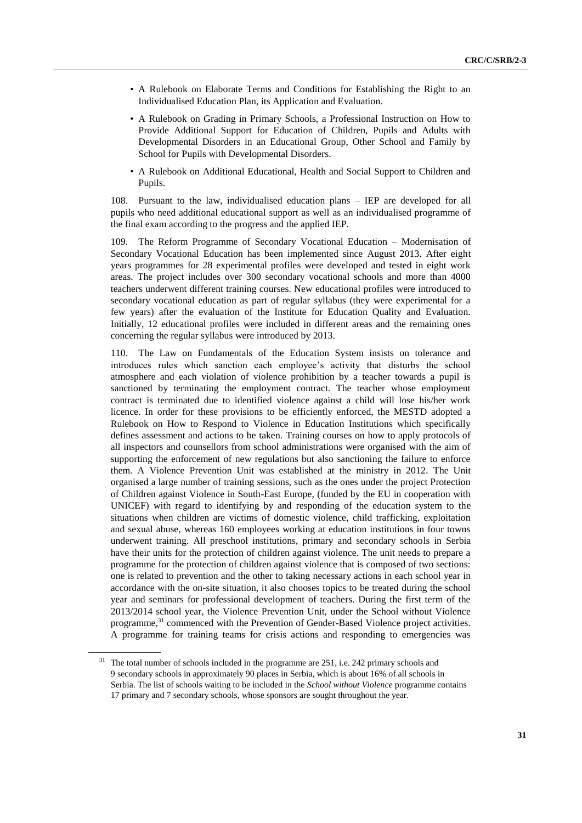- A Rulebook on Elaborate Terms and Conditions for Establishing the Right to an Individualised Education Plan, its Application and Evaluation.
- A Rulebook on Grading in Primary Schools, a Professional Instruction on How to Provide Additional Support for Education of Children, Pupils and Adults with Developmental Disorders in an Educational Group, Other School and Family by School for Pupils with Developmental Disorders.
- A Rulebook on Additional Educational, Health and Social Support to Children and Pupils.

108. Pursuant to the law, individualised education plans – IEP are developed for all pupils who need additional educational support as well as an individualised programme of the final exam according to the progress and the applied IEP.

109. The Reform Programme of Secondary Vocational Education – Modernisation of Secondary Vocational Education has been implemented since August 2013. After eight years programmes for 28 experimental profiles were developed and tested in eight work areas. The project includes over 300 secondary vocational schools and more than 4000 teachers underwent different training courses. New educational profiles were introduced to secondary vocational education as part of regular syllabus (they were experimental for a few years) after the evaluation of the Institute for Education Quality and Evaluation. Initially, 12 educational profiles were included in different areas and the remaining ones concerning the regular syllabus were introduced by 2013.

110. The Law on Fundamentals of the Education System insists on tolerance and introduces rules which sanction each employee's activity that disturbs the school atmosphere and each violation of violence prohibition by a teacher towards a pupil is sanctioned by terminating the employment contract. The teacher whose employment contract is terminated due to identified violence against a child will lose his/her work licence. In order for these provisions to be efficiently enforced, the MESTD adopted a Rulebook on How to Respond to Violence in Education Institutions which specifically defines assessment and actions to be taken. Training courses on how to apply protocols of all inspectors and counsellors from school administrations were organised with the aim of supporting the enforcement of new regulations but also sanctioning the failure to enforce them. A Violence Prevention Unit was established at the ministry in 2012. The Unit organised a large number of training sessions, such as the ones under the project Protection of Children against Violence in South-East Europe, (funded by the EU in cooperation with UNICEF) with regard to identifying by and responding of the education system to the situations when children are victims of domestic violence, child trafficking, exploitation and sexual abuse, whereas 160 employees working at education institutions in four towns underwent training. All preschool institutions, primary and secondary schools in Serbia have their units for the protection of children against violence. The unit needs to prepare a programme for the protection of children against violence that is composed of two sections: one is related to prevention and the other to taking necessary actions in each school year in accordance with the on-site situation, it also chooses topics to be treated during the school year and seminars for professional development of teachers. During the first term of the 2013/2014 school year, the Violence Prevention Unit, under the School without Violence programme, <sup>31</sup> commenced with the Prevention of Gender-Based Violence project activities. A programme for training teams for crisis actions and responding to emergencies was

<sup>&</sup>lt;sup>31</sup> The total number of schools included in the programme are 251, i.e. 242 primary schools and 9 secondary schools in approximately 90 places in Serbia, which is about 16% of all schools in Serbia. The list of schools waiting to be included in the *School without Violence* programme contains 17 primary and 7 secondary schools, whose sponsors are sought throughout the year.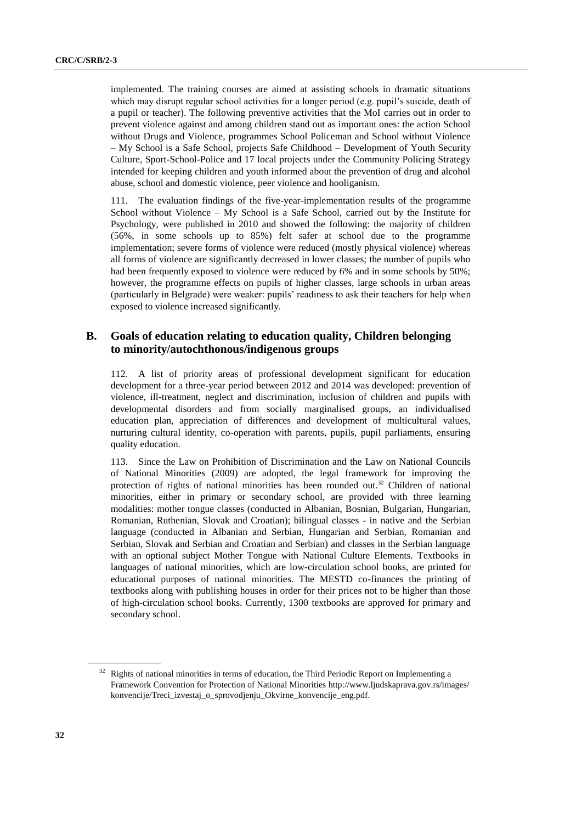implemented. The training courses are aimed at assisting schools in dramatic situations which may disrupt regular school activities for a longer period (e.g. pupil's suicide, death of a pupil or teacher). The following preventive activities that the MoI carries out in order to prevent violence against and among children stand out as important ones: the action School without Drugs and Violence, programmes School Policeman and School without Violence – My School is a Safe School, projects Safe Childhood – Development of Youth Security Culture, Sport-School-Police and 17 local projects under the Community Policing Strategy intended for keeping children and youth informed about the prevention of drug and alcohol abuse, school and domestic violence, peer violence and hooliganism.

111. The evaluation findings of the five-year-implementation results of the programme School without Violence – My School is a Safe School, carried out by the Institute for Psychology, were published in 2010 and showed the following: the majority of children (56%, in some schools up to 85%) felt safer at school due to the programme implementation; severe forms of violence were reduced (mostly physical violence) whereas all forms of violence are significantly decreased in lower classes; the number of pupils who had been frequently exposed to violence were reduced by 6% and in some schools by 50%; however, the programme effects on pupils of higher classes, large schools in urban areas (particularly in Belgrade) were weaker: pupils' readiness to ask their teachers for help when exposed to violence increased significantly.

## **B. Goals of education relating to education quality, Children belonging to minority/autochthonous/indigenous groups**

112. A list of priority areas of professional development significant for education development for a three-year period between 2012 and 2014 was developed: prevention of violence, ill-treatment, neglect and discrimination, inclusion of children and pupils with developmental disorders and from socially marginalised groups, an individualised education plan, appreciation of differences and development of multicultural values, nurturing cultural identity, co-operation with parents, pupils, pupil parliaments, ensuring quality education.

113. Since the Law on Prohibition of Discrimination and the Law on National Councils of National Minorities (2009) are adopted, the legal framework for improving the protection of rights of national minorities has been rounded out.<sup>32</sup> Children of national minorities, either in primary or secondary school, are provided with three learning modalities: mother tongue classes (conducted in Albanian, Bosnian, Bulgarian, Hungarian, Romanian, Ruthenian, Slovak and Croatian); bilingual classes - in native and the Serbian language (conducted in Albanian and Serbian, Hungarian and Serbian, Romanian and Serbian, Slovak and Serbian and Croatian and Serbian) and classes in the Serbian language with an optional subject Mother Tongue with National Culture Elements. Textbooks in languages of national minorities, which are low-circulation school books, are printed for educational purposes of national minorities. The MESTD co-finances the printing of textbooks along with publishing houses in order for their prices not to be higher than those of high-circulation school books. Currently, 1300 textbooks are approved for primary and secondary school.

<sup>32</sup> Rights of national minorities in terms of education, the Third Periodic Report on Implementing a Framework Convention for Protection of National Minorities [http://www.ljudskaprava.gov.rs/images/](http://www.ljudskaprava.gov.rs/images/konvencije/Treci_izvestaj_o_sprovodjenju_Okvirne_konvencije_eng.pdf) [konvencije/Treci\\_izvestaj\\_o\\_sprovodjenju\\_Okvirne\\_konvencije\\_eng.pdf.](http://www.ljudskaprava.gov.rs/images/konvencije/Treci_izvestaj_o_sprovodjenju_Okvirne_konvencije_eng.pdf)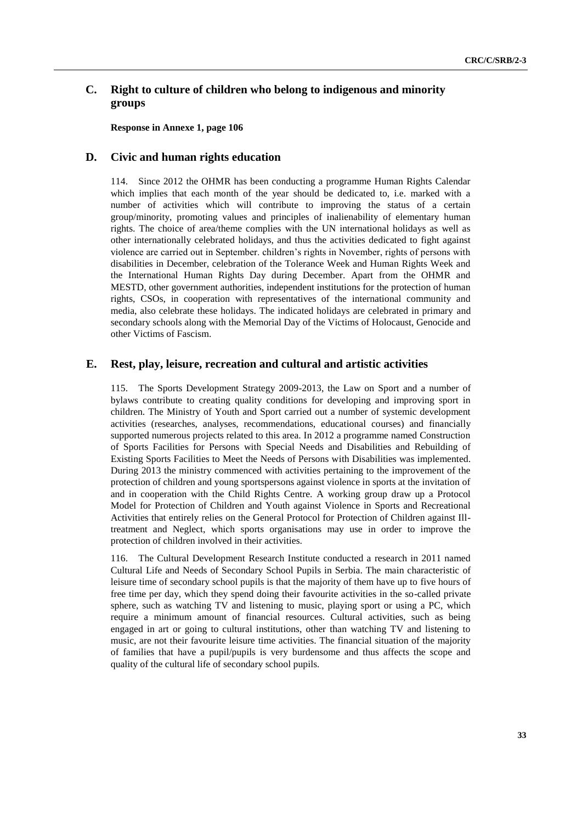## **C. Right to culture of children who belong to indigenous and minority groups**

**Response in Annexe 1, page 106**

### **D. Civic and human rights education**

114. Since 2012 the OHMR has been conducting a programme Human Rights Calendar which implies that each month of the year should be dedicated to, i.e. marked with a number of activities which will contribute to improving the status of a certain group/minority, promoting values and principles of inalienability of elementary human rights. The choice of area/theme complies with the UN international holidays as well as other internationally celebrated holidays, and thus the activities dedicated to fight against violence are carried out in September. children's rights in November, rights of persons with disabilities in December, celebration of the Tolerance Week and Human Rights Week and the International Human Rights Day during December. Apart from the OHMR and MESTD, other government authorities, independent institutions for the protection of human rights, CSOs, in cooperation with representatives of the international community and media, also celebrate these holidays. The indicated holidays are celebrated in primary and secondary schools along with the Memorial Day of the Victims of Holocaust, Genocide and other Victims of Fascism.

#### **E. Rest, play, leisure, recreation and cultural and artistic activities**

115. The Sports Development Strategy 2009-2013, the Law on Sport and a number of bylaws contribute to creating quality conditions for developing and improving sport in children. The Ministry of Youth and Sport carried out a number of systemic development activities (researches, analyses, recommendations, educational courses) and financially supported numerous projects related to this area. In 2012 a programme named Construction of Sports Facilities for Persons with Special Needs and Disabilities and Rebuilding of Existing Sports Facilities to Meet the Needs of Persons with Disabilities was implemented. During 2013 the ministry commenced with activities pertaining to the improvement of the protection of children and young sportspersons against violence in sports at the invitation of and in cooperation with the Child Rights Centre. A working group draw up a Protocol Model for Protection of Children and Youth against Violence in Sports and Recreational Activities that entirely relies on the General Protocol for Protection of Children against Illtreatment and Neglect, which sports organisations may use in order to improve the protection of children involved in their activities.

116. The Cultural Development Research Institute conducted a research in 2011 named Cultural Life and Needs of Secondary School Pupils in Serbia. The main characteristic of leisure time of secondary school pupils is that the majority of them have up to five hours of free time per day, which they spend doing their favourite activities in the so-called private sphere, such as watching TV and listening to music, playing sport or using a PC, which require a minimum amount of financial resources. Cultural activities, such as being engaged in art or going to cultural institutions, other than watching TV and listening to music, are not their favourite leisure time activities. The financial situation of the majority of families that have a pupil/pupils is very burdensome and thus affects the scope and quality of the cultural life of secondary school pupils.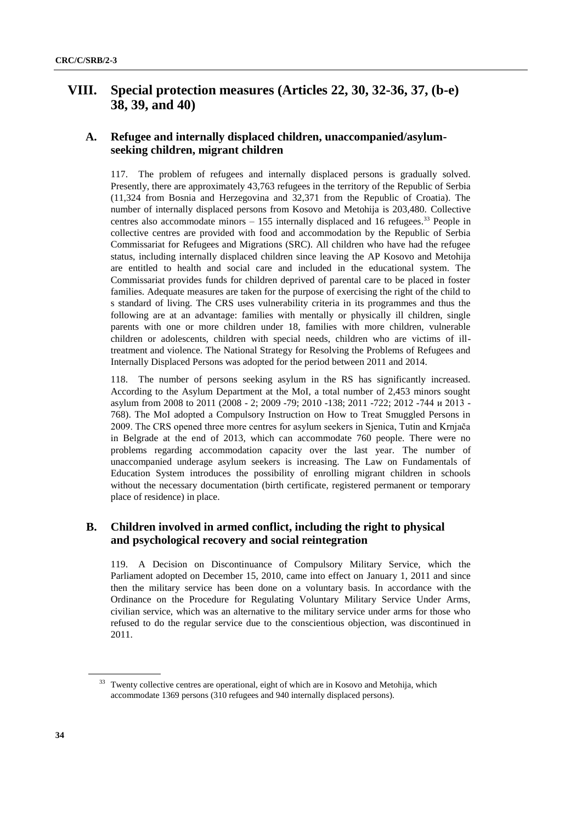## **VIII. Special protection measures (Articles 22, 30, 32-36, 37, (b-e) 38, 39, and 40)**

## **A. Refugee and internally displaced children, unaccompanied/asylumseeking children, migrant children**

117. The problem of refugees and internally displaced persons is gradually solved. Presently, there are approximately 43,763 refugees in the territory of the Republic of Serbia (11,324 from Bosnia and Herzegovina and 32,371 from the Republic of Croatia). The number of internally displaced persons from Kosovo and Metohija is 203,480. Collective centres also accommodate minors  $-155$  internally displaced and 16 refugees.<sup>33</sup> People in collective centres are provided with food and accommodation by the Republic of Serbia Commissariat for Refugees and Migrations (SRC). All children who have had the refugee status, including internally displaced children since leaving the AP Kosovo and Metohija are entitled to health and social care and included in the educational system. The Commissariat provides funds for children deprived of parental care to be placed in foster families. Adequate measures are taken for the purpose of exercising the right of the child to s standard of living. The CRS uses vulnerability criteria in its programmes and thus the following are at an advantage: families with mentally or physically ill children, single parents with one or more children under 18, families with more children, vulnerable children or adolescents, children with special needs, children who are victims of illtreatment and violence. The National Strategy for Resolving the Problems of Refugees and Internally Displaced Persons was adopted for the period between 2011 and 2014.

118. The number of persons seeking asylum in the RS has significantly increased. According to the Asylum Department at the MoI, a total number of 2,453 minors sought asylum from 2008 to 2011 (2008 - 2; 2009 -79; 2010 -138; 2011 -722; 2012 -744 и 2013 - 768). The MoI adopted a Compulsory Instruction on How to Treat Smuggled Persons in 2009. The CRS opened three more centres for asylum seekers in Sjenica, Tutin and Krnjača in Belgrade at the end of 2013, which can accommodate 760 people. There were no problems regarding accommodation capacity over the last year. The number of unaccompanied underage asylum seekers is increasing. The Law on Fundamentals of Education System introduces the possibility of enrolling migrant children in schools without the necessary documentation (birth certificate, registered permanent or temporary place of residence) in place.

## **B. Children involved in armed conflict, including the right to physical and psychological recovery and social reintegration**

119. A Decision on Discontinuance of Compulsory Military Service, which the Parliament adopted on December 15, 2010, came into effect on January 1, 2011 and since then the military service has been done on a voluntary basis. In accordance with the Ordinance on the Procedure for Regulating Voluntary Military Service Under Arms, civilian service, which was an alternative to the military service under arms for those who refused to do the regular service due to the conscientious objection, was discontinued in 2011.

<sup>&</sup>lt;sup>33</sup> Twenty collective centres are operational, eight of which are in Kosovo and Metohija, which accommodate 1369 persons (310 refugees and 940 internally displaced persons).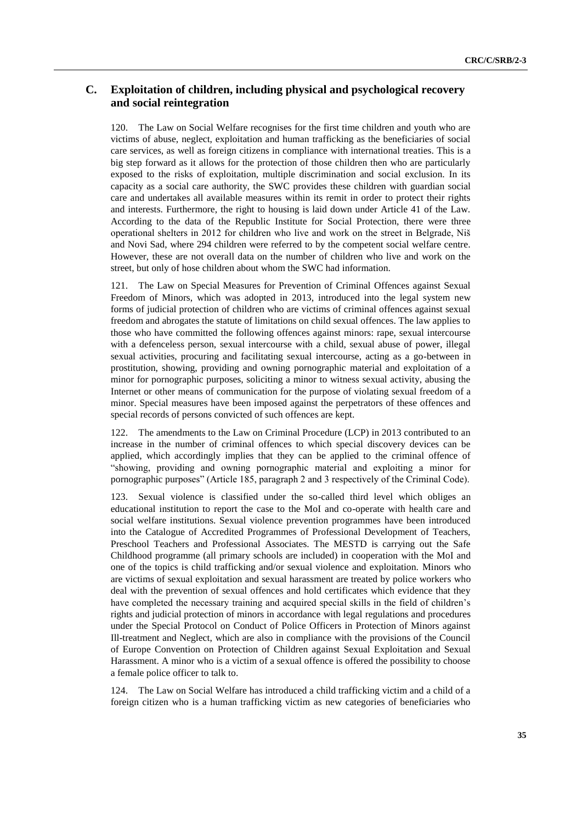## **C. Exploitation of children, including physical and psychological recovery and social reintegration**

120. The Law on Social Welfare recognises for the first time children and youth who are victims of abuse, neglect, exploitation and human trafficking as the beneficiaries of social care services, as well as foreign citizens in compliance with international treaties. This is a big step forward as it allows for the protection of those children then who are particularly exposed to the risks of exploitation, multiple discrimination and social exclusion. In its capacity as a social care authority, the SWC provides these children with guardian social care and undertakes all available measures within its remit in order to protect their rights and interests. Furthermore, the right to housing is laid down under Article 41 of the Law. According to the data of the Republic Institute for Social Protection, there were three operational shelters in 2012 for children who live and work on the street in Belgrade, Niš and Novi Sad, where 294 children were referred to by the competent social welfare centre. However, these are not overall data on the number of children who live and work on the street, but only of hose children about whom the SWC had information.

121. The Law on Special Measures for Prevention of Criminal Offences against Sexual Freedom of Minors, which was adopted in 2013, introduced into the legal system new forms of judicial protection of children who are victims of criminal offences against sexual freedom and abrogates the statute of limitations on child sexual offences. The law applies to those who have committed the following offences against minors: rape, sexual intercourse with a defenceless person, sexual intercourse with a child, sexual abuse of power, illegal sexual activities, procuring and facilitating sexual intercourse, acting as a go-between in prostitution, showing, providing and owning pornographic material and exploitation of a minor for pornographic purposes, soliciting a minor to witness sexual activity, abusing the Internet or other means of communication for the purpose of violating sexual freedom of a minor. Special measures have been imposed against the perpetrators of these offences and special records of persons convicted of such offences are kept.

122. The amendments to the Law on Criminal Procedure (LCP) in 2013 contributed to an increase in the number of criminal offences to which special discovery devices can be applied, which accordingly implies that they can be applied to the criminal offence of "showing, providing and owning pornographic material and exploiting a minor for pornographic purposes" (Article 185, paragraph 2 and 3 respectively of the Criminal Code).

123. Sexual violence is classified under the so-called third level which obliges an educational institution to report the case to the MoI and co-operate with health care and social welfare institutions. Sexual violence prevention programmes have been introduced into the Catalogue of Accredited Programmes of Professional Development of Teachers, Preschool Teachers and Professional Associates. The MESTD is carrying out the Safe Childhood programme (all primary schools are included) in cooperation with the MoI and one of the topics is child trafficking and/or sexual violence and exploitation. Minors who are victims of sexual exploitation and sexual harassment are treated by police workers who deal with the prevention of sexual offences and hold certificates which evidence that they have completed the necessary training and acquired special skills in the field of children's rights and judicial protection of minors in accordance with legal regulations and procedures under the Special Protocol on Conduct of Police Officers in Protection of Minors against Ill-treatment and Neglect, which are also in compliance with the provisions of the Council of Europe Convention on Protection of Children against Sexual Exploitation and Sexual Harassment. A minor who is a victim of a sexual offence is offered the possibility to choose a female police officer to talk to.

124. The Law on Social Welfare has introduced a child trafficking victim and a child of a foreign citizen who is a human trafficking victim as new categories of beneficiaries who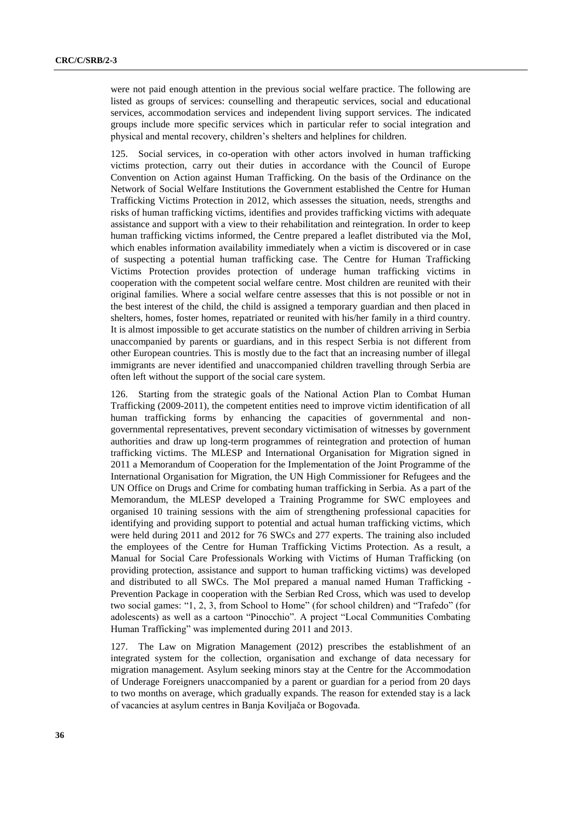were not paid enough attention in the previous social welfare practice. The following are listed as groups of services: counselling and therapeutic services, social and educational services, accommodation services and independent living support services. The indicated groups include more specific services which in particular refer to social integration and physical and mental recovery, children's shelters and helplines for children.

125. Social services, in co-operation with other actors involved in human trafficking victims protection, carry out their duties in accordance with the Council of Europe Convention on Action against Human Trafficking. On the basis of the Ordinance on the Network of Social Welfare Institutions the Government established the Centre for Human Trafficking Victims Protection in 2012, which assesses the situation, needs, strengths and risks of human trafficking victims, identifies and provides trafficking victims with adequate assistance and support with a view to their rehabilitation and reintegration. In order to keep human trafficking victims informed, the Centre prepared a leaflet distributed via the MoI, which enables information availability immediately when a victim is discovered or in case of suspecting a potential human trafficking case. The Centre for Human Trafficking Victims Protection provides protection of underage human trafficking victims in cooperation with the competent social welfare centre. Most children are reunited with their original families. Where a social welfare centre assesses that this is not possible or not in the best interest of the child, the child is assigned a temporary guardian and then placed in shelters, homes, foster homes, repatriated or reunited with his/her family in a third country. It is almost impossible to get accurate statistics on the number of children arriving in Serbia unaccompanied by parents or guardians, and in this respect Serbia is not different from other European countries. This is mostly due to the fact that an increasing number of illegal immigrants are never identified and unaccompanied children travelling through Serbia are often left without the support of the social care system.

126. Starting from the strategic goals of the National Action Plan to Combat Human Trafficking (2009-2011), the competent entities need to improve victim identification of all human trafficking forms by enhancing the capacities of governmental and nongovernmental representatives, prevent secondary victimisation of witnesses by government authorities and draw up long-term programmes of reintegration and protection of human trafficking victims. The MLESP and International Organisation for Migration signed in 2011 a Memorandum of Cooperation for the Implementation of the Joint Programme of the International Organisation for Migration, the UN High Commissioner for Refugees and the UN Office on Drugs and Crime for combating human trafficking in Serbia. As a part of the Memorandum, the MLESP developed a Training Programme for SWC employees and organised 10 training sessions with the aim of strengthening professional capacities for identifying and providing support to potential and actual human trafficking victims, which were held during 2011 and 2012 for 76 SWCs and 277 experts. The training also included the employees of the Centre for Human Trafficking Victims Protection. As a result, a Manual for Social Care Professionals Working with Victims of Human Trafficking (on providing protection, assistance and support to human trafficking victims) was developed and distributed to all SWCs. The MoI prepared a manual named Human Trafficking - Prevention Package in cooperation with the Serbian Red Cross, which was used to develop two social games: "1, 2, 3, from School to Home" (for school children) and "Trafedo" (for adolescents) as well as a cartoon "Pinocchio". A project "Local Communities Combating Human Trafficking" was implemented during 2011 and 2013.

127. The Law on Migration Management (2012) prescribes the establishment of an integrated system for the collection, organisation and exchange of data necessary for migration management. Asylum seeking minors stay at the Centre for the Accommodation of Underage Foreigners unaccompanied by a parent or guardian for a period from 20 days to two months on average, which gradually expands. The reason for extended stay is a lack of vacancies at asylum centres in Banja Koviljača or Bogovađa.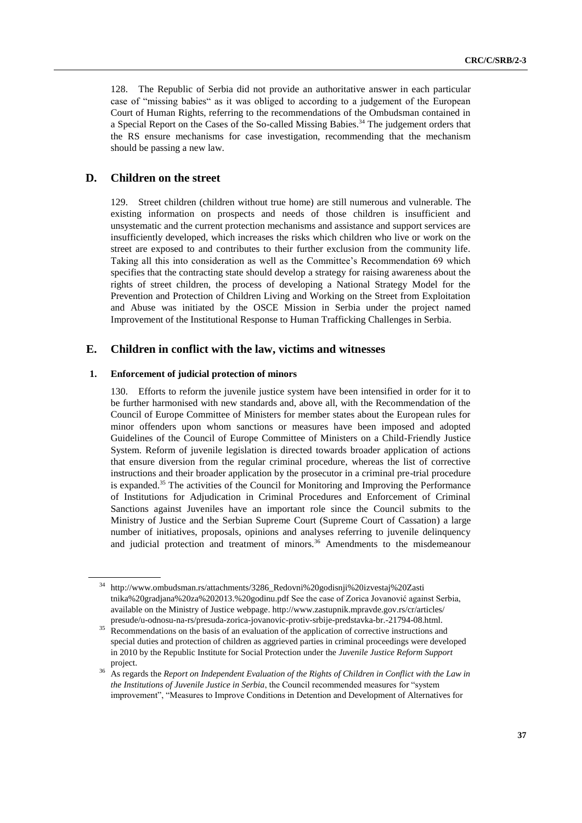128. The Republic of Serbia did not provide an authoritative answer in each particular case of "missing babies" as it was obliged to according to a judgement of the European Court of Human Rights, referring to the recommendations of the Ombudsman contained in a Special Report on the Cases of the So-called Missing Babies.<sup>34</sup> The judgement orders that the RS ensure mechanisms for case investigation, recommending that the mechanism should be passing a new law.

## **D. Children on the street**

129. Street children (children without true home) are still numerous and vulnerable. The existing information on prospects and needs of those children is insufficient and unsystematic and the current protection mechanisms and assistance and support services are insufficiently developed, which increases the risks which children who live or work on the street are exposed to and contributes to their further exclusion from the community life. Taking all this into consideration as well as the Committee's Recommendation 69 which specifies that the contracting state should develop a strategy for raising awareness about the rights of street children, the process of developing a National Strategy Model for the Prevention and Protection of Children Living and Working on the Street from Exploitation and Abuse was initiated by the OSCE Mission in Serbia under the project named Improvement of the Institutional Response to Human Trafficking Challenges in Serbia.

### **E. Children in conflict with the law, victims and witnesses**

#### **1. Enforcement of judicial protection of minors**

130. Efforts to reform the juvenile justice system have been intensified in order for it to be further harmonised with new standards and, above all, with the Recommendation of the Council of Europe Committee of Ministers for member states about the European rules for minor offenders upon whom sanctions or measures have been imposed and adopted Guidelines of the Council of Europe Committee of Ministers on a Child-Friendly Justice System. Reform of juvenile legislation is directed towards broader application of actions that ensure diversion from the regular criminal procedure, whereas the list of corrective instructions and their broader application by the prosecutor in a criminal pre-trial procedure is expanded.<sup>35</sup> The activities of the Council for Monitoring and Improving the Performance of Institutions for Adjudication in Criminal Procedures and Enforcement of Criminal Sanctions against Juveniles have an important role since the Council submits to the Ministry of Justice and the Serbian Supreme Court (Supreme Court of Cassation) a large number of initiatives, proposals, opinions and analyses referring to juvenile delinquency and judicial protection and treatment of minors.<sup>36</sup> Amendments to the misdemeanour

<sup>34</sup> [http://www.ombudsman.rs/attachments/3286\\_Redovni%20godisnji%20izvestaj%20Zasti](http://www.ombudsman.rs/attachments/3286_Redovni%20godisnji%20izvestaj%20Zastitnika%20gradjana%20za%202013.%20godinu.pdf) [tnika%20gradjana%20za%202013.%20godinu.pdf](http://www.ombudsman.rs/attachments/3286_Redovni%20godisnji%20izvestaj%20Zastitnika%20gradjana%20za%202013.%20godinu.pdf) See the case of Zorica Jovanović against Serbia, available on the Ministry of Justice webpage. [http://www.zastupnik.mpravde.gov.rs/cr/articles/](http://www.zastupnik.mpravde.gov.rs/cr/articles/presude/u-odnosu-na-rs/presuda-zorica-jovanovic-protiv-srbije-predstavka-br.-21794-08.html) [presude/u-odnosu-na-rs/presuda-zorica-jovanovic-protiv-srbije-predstavka-br.-21794-08.html.](http://www.zastupnik.mpravde.gov.rs/cr/articles/presude/u-odnosu-na-rs/presuda-zorica-jovanovic-protiv-srbije-predstavka-br.-21794-08.html)

<sup>&</sup>lt;sup>35</sup> Recommendations on the basis of an evaluation of the application of corrective instructions and special duties and protection of children as aggrieved parties in criminal proceedings were developed in 2010 by the Republic Institute for Social Protection under the *Juvenile Justice Reform Support* project.

<sup>36</sup> As regards the *Report on Independent Evaluation of the Rights of Children in Conflict with the Law in the Institutions of Juvenile Justice in Serbia*, the Council recommended measures for "system improvement", "Measures to Improve Conditions in Detention and Development of Alternatives for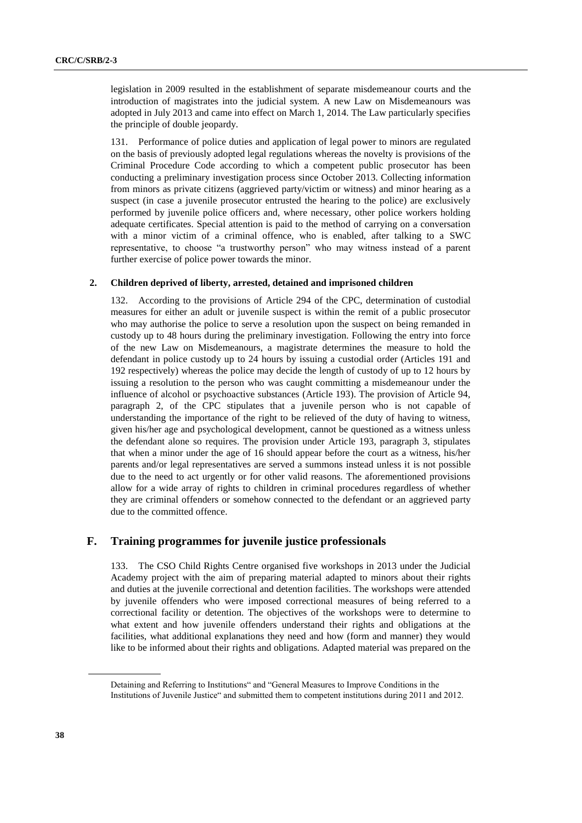legislation in 2009 resulted in the establishment of separate misdemeanour courts and the introduction of magistrates into the judicial system. A new Law on Misdemeanours was adopted in July 2013 and came into effect on March 1, 2014. The Law particularly specifies the principle of double jeopardy.

131. Performance of police duties and application of legal power to minors are regulated on the basis of previously adopted legal regulations whereas the novelty is provisions of the Criminal Procedure Code according to which a competent public prosecutor has been conducting a preliminary investigation process since October 2013. Collecting information from minors as private citizens (aggrieved party/victim or witness) and minor hearing as a suspect (in case a juvenile prosecutor entrusted the hearing to the police) are exclusively performed by juvenile police officers and, where necessary, other police workers holding adequate certificates. Special attention is paid to the method of carrying on a conversation with a minor victim of a criminal offence, who is enabled, after talking to a SWC representative, to choose "a trustworthy person" who may witness instead of a parent further exercise of police power towards the minor.

#### **2. Children deprived of liberty, arrested, detained and imprisoned children**

132. According to the provisions of Article 294 of the CPC, determination of custodial measures for either an adult or juvenile suspect is within the remit of a public prosecutor who may authorise the police to serve a resolution upon the suspect on being remanded in custody up to 48 hours during the preliminary investigation. Following the entry into force of the new Law on Misdemeanours, a magistrate determines the measure to hold the defendant in police custody up to 24 hours by issuing a custodial order (Articles 191 and 192 respectively) whereas the police may decide the length of custody of up to 12 hours by issuing a resolution to the person who was caught committing a misdemeanour under the influence of alcohol or psychoactive substances (Article 193). The provision of Article 94, paragraph 2, of the CPC stipulates that a juvenile person who is not capable of understanding the importance of the right to be relieved of the duty of having to witness, given his/her age and psychological development, cannot be questioned as a witness unless the defendant alone so requires. The provision under Article 193, paragraph 3, stipulates that when a minor under the age of 16 should appear before the court as a witness, his/her parents and/or legal representatives are served a summons instead unless it is not possible due to the need to act urgently or for other valid reasons. The aforementioned provisions allow for a wide array of rights to children in criminal procedures regardless of whether they are criminal offenders or somehow connected to the defendant or an aggrieved party due to the committed offence.

### **F. Training programmes for juvenile justice professionals**

133. The CSO Child Rights Centre organised five workshops in 2013 under the Judicial Academy project with the aim of preparing material adapted to minors about their rights and duties at the juvenile correctional and detention facilities. The workshops were attended by juvenile offenders who were imposed correctional measures of being referred to a correctional facility or detention. The objectives of the workshops were to determine to what extent and how juvenile offenders understand their rights and obligations at the facilities, what additional explanations they need and how (form and manner) they would like to be informed about their rights and obligations. Adapted material was prepared on the

Detaining and Referring to Institutions" and "General Measures to Improve Conditions in the Institutions of Juvenile Justice" and submitted them to competent institutions during 2011 and 2012.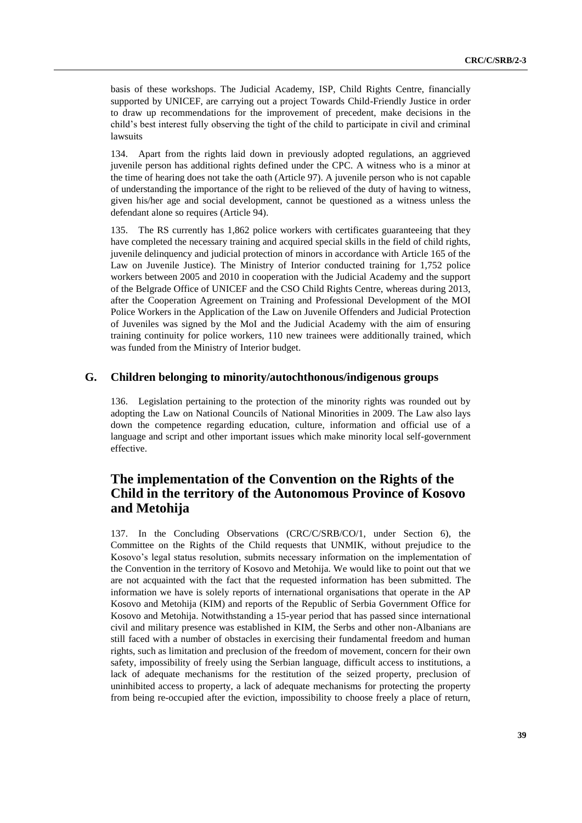basis of these workshops. The Judicial Academy, ISP, Child Rights Centre, financially supported by UNICEF, are carrying out a project Towards Child-Friendly Justice in order to draw up recommendations for the improvement of precedent, make decisions in the child's best interest fully observing the tight of the child to participate in civil and criminal lawsuits

134. Apart from the rights laid down in previously adopted regulations, an aggrieved juvenile person has additional rights defined under the CPC. A witness who is a minor at the time of hearing does not take the oath (Article 97). A juvenile person who is not capable of understanding the importance of the right to be relieved of the duty of having to witness, given his/her age and social development, cannot be questioned as a witness unless the defendant alone so requires (Article 94).

The RS currently has 1,862 police workers with certificates guaranteeing that they have completed the necessary training and acquired special skills in the field of child rights, juvenile delinquency and judicial protection of minors in accordance with Article 165 of the Law on Juvenile Justice). The Ministry of Interior conducted training for 1,752 police workers between 2005 and 2010 in cooperation with the Judicial Academy and the support of the Belgrade Office of UNICEF and the CSO Child Rights Centre, whereas during 2013, after the Cooperation Agreement on Training and Professional Development of the MOI Police Workers in the Application of the Law on Juvenile Offenders and Judicial Protection of Juveniles was signed by the MoI and the Judicial Academy with the aim of ensuring training continuity for police workers, 110 new trainees were additionally trained, which was funded from the Ministry of Interior budget.

## **G. Children belonging to minority/autochthonous/indigenous groups**

136. Legislation pertaining to the protection of the minority rights was rounded out by adopting the Law on National Councils of National Minorities in 2009. The Law also lays down the competence regarding education, culture, information and official use of a language and script and other important issues which make minority local self-government effective.

## **The implementation of the Convention on the Rights of the Child in the territory of the Autonomous Province of Kosovo and Metohija**

137. In the Concluding Observations (CRC/C/SRB/CO/1, under Section 6), the Committee on the Rights of the Child requests that UNMIK, without prejudice to the Kosovo's legal status resolution, submits necessary information on the implementation of the Convention in the territory of Kosovo and Metohija. We would like to point out that we are not acquainted with the fact that the requested information has been submitted. The information we have is solely reports of international organisations that operate in the AP Kosovo and Metohija (KIM) and reports of the Republic of Serbia Government Office for Kosovo and Metohija. Notwithstanding a 15-year period that has passed since international civil and military presence was established in KIM, the Serbs and other non-Albanians are still faced with a number of obstacles in exercising their fundamental freedom and human rights, such as limitation and preclusion of the freedom of movement, concern for their own safety, impossibility of freely using the Serbian language, difficult access to institutions, a lack of adequate mechanisms for the restitution of the seized property, preclusion of uninhibited access to property, a lack of adequate mechanisms for protecting the property from being re-occupied after the eviction, impossibility to choose freely a place of return,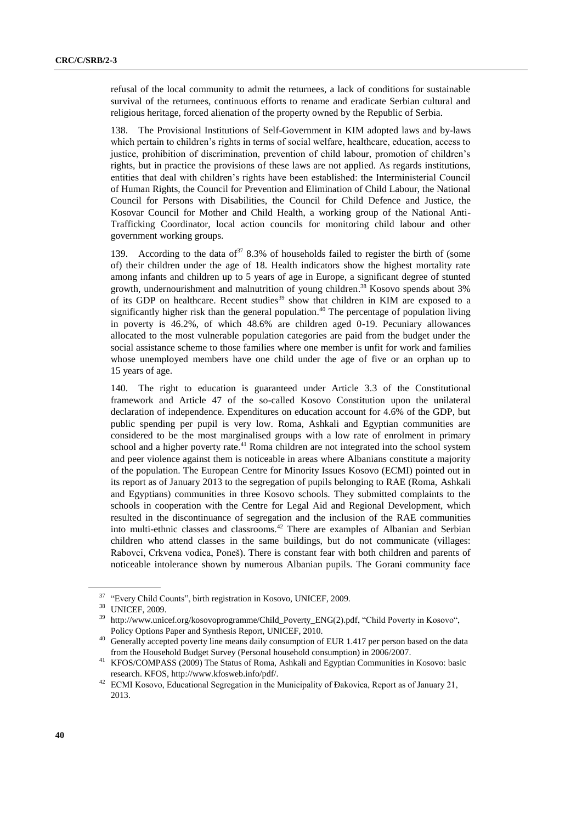refusal of the local community to admit the returnees, a lack of conditions for sustainable survival of the returnees, continuous efforts to rename and eradicate Serbian cultural and religious heritage, forced alienation of the property owned by the Republic of Serbia.

138. The Provisional Institutions of Self-Government in KIM adopted laws and by-laws which pertain to children's rights in terms of social welfare, healthcare, education, access to justice, prohibition of discrimination, prevention of child labour, promotion of children's rights, but in practice the provisions of these laws are not applied. As regards institutions, entities that deal with children's rights have been established: the Interministerial Council of Human Rights, the Council for Prevention and Elimination of Child Labour, the National Council for Persons with Disabilities, the Council for Child Defence and Justice, the Kosovar Council for Mother and Child Health, a working group of the National Anti-Trafficking Coordinator, local action councils for monitoring child labour and other government working groups.

139. According to the data of  $378.3\%$  of households failed to register the birth of (some of) their children under the age of 18. Health indicators show the highest mortality rate among infants and children up to 5 years of age in Europe, a significant degree of stunted growth, undernourishment and malnutrition of young children. <sup>38</sup> Kosovo spends about 3% of its GDP on healthcare. Recent studies<sup>39</sup> show that children in KIM are exposed to a significantly higher risk than the general population. <sup>40</sup> The percentage of population living in poverty is 46.2%, of which 48.6% are children aged 0-19. Pecuniary allowances allocated to the most vulnerable population categories are paid from the budget under the social assistance scheme to those families where one member is unfit for work and families whose unemployed members have one child under the age of five or an orphan up to 15 years of age.

140. The right to education is guaranteed under Article 3.3 of the Constitutional framework and Article 47 of the so-called Kosovo Constitution upon the unilateral declaration of independence. Expenditures on education account for 4.6% of the GDP, but public spending per pupil is very low. Roma, Ashkali and Egyptian communities are considered to be the most marginalised groups with a low rate of enrolment in primary school and a higher poverty rate.<sup>41</sup> Roma children are not integrated into the school system and peer violence against them is noticeable in areas where Albanians constitute a majority of the population. The European Centre for Minority Issues Kosovo (ECMI) pointed out in its report as of January 2013 to the segregation of pupils belonging to RAE (Roma, Ashkali and Egyptians) communities in three Kosovo schools. They submitted complaints to the schools in cooperation with the Centre for Legal Aid and Regional Development, which resulted in the discontinuance of segregation and the inclusion of the RAE communities into multi-ethnic classes and classrooms.<sup>42</sup> There are examples of Albanian and Serbian children who attend classes in the same buildings, but do not communicate (villages: Rabovci, Crkvena vodica, Poneš). There is constant fear with both children and parents of noticeable intolerance shown by numerous Albanian pupils. The Gorani community face

<sup>37</sup> "Every Child Counts", birth registration in Kosovo, UNICEF, 2009.

<sup>38</sup> UNICEF, 2009.

[http://www.unicef.org/kosovoprogramme/Child\\_Poverty\\_ENG\(2\).pdf,](http://www.unicef.org/kosovoprogramme/Child_Poverty_ENG(2).pdf) "Child Poverty in Kosovo", Policy Options Paper and Synthesis Report, UNICEF, 2010.

<sup>&</sup>lt;sup>40</sup> Generally accepted poverty line means daily consumption of EUR 1.417 per person based on the data from the Household Budget Survey (Personal household consumption) in 2006/2007.

<sup>41</sup> KFOS/COMPASS (2009) The Status of Roma, Ashkali and Egyptian Communities in Kosovo: basic research. KFOS, [http://www.kfosweb.info/pdf/.](http://www.kfosweb.info/pdf/)

<sup>&</sup>lt;sup>42</sup> ECMI Kosovo, Educational Segregation in the Municipality of Đakovica, Report as of January 21, 2013.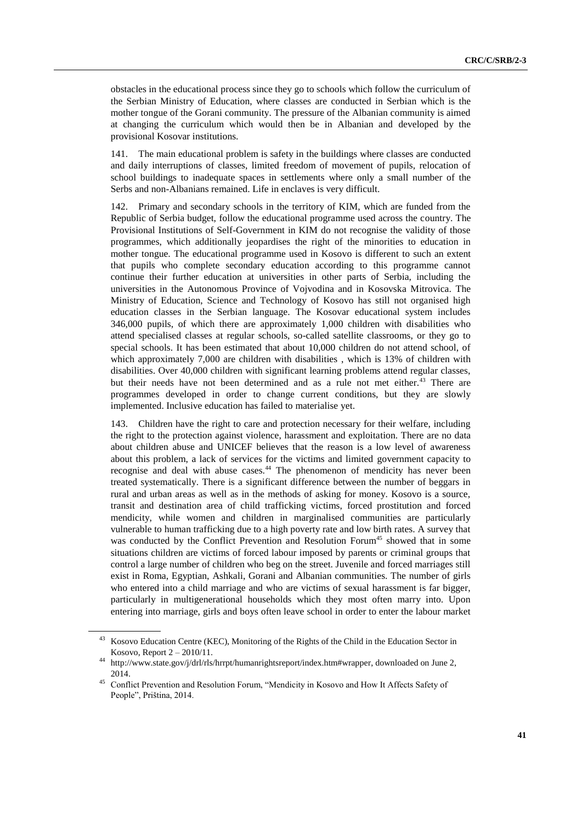obstacles in the educational process since they go to schools which follow the curriculum of the Serbian Ministry of Education, where classes are conducted in Serbian which is the mother tongue of the Gorani community. The pressure of the Albanian community is aimed at changing the curriculum which would then be in Albanian and developed by the provisional Kosovar institutions.

141. The main educational problem is safety in the buildings where classes are conducted and daily interruptions of classes, limited freedom of movement of pupils, relocation of school buildings to inadequate spaces in settlements where only a small number of the Serbs and non-Albanians remained. Life in enclaves is very difficult.

142. Primary and secondary schools in the territory of KIM, which are funded from the Republic of Serbia budget, follow the educational programme used across the country. The Provisional Institutions of Self-Government in KIM do not recognise the validity of those programmes, which additionally jeopardises the right of the minorities to education in mother tongue. The educational programme used in Kosovo is different to such an extent that pupils who complete secondary education according to this programme cannot continue their further education at universities in other parts of Serbia, including the universities in the Autonomous Province of Vojvodina and in Kosovska Mitrovica. The Ministry of Education, Science and Technology of Kosovo has still not organised high education classes in the Serbian language. The Kosovar educational system includes 346,000 pupils, of which there are approximately 1,000 children with disabilities who attend specialised classes at regular schools, so-called satellite classrooms, or they go to special schools. It has been estimated that about 10,000 children do not attend school, of which approximately 7,000 are children with disabilities, which is 13% of children with disabilities. Over 40,000 children with significant learning problems attend regular classes, but their needs have not been determined and as a rule not met either.<sup>43</sup> There are programmes developed in order to change current conditions, but they are slowly implemented. Inclusive education has failed to materialise yet.

143. Children have the right to care and protection necessary for their welfare, including the right to the protection against violence, harassment and exploitation. There are no data about children abuse and UNICEF believes that the reason is a low level of awareness about this problem, a lack of services for the victims and limited government capacity to recognise and deal with abuse cases.<sup>44</sup> The phenomenon of mendicity has never been treated systematically. There is a significant difference between the number of beggars in rural and urban areas as well as in the methods of asking for money. Kosovo is a source, transit and destination area of child trafficking victims, forced prostitution and forced mendicity, while women and children in marginalised communities are particularly vulnerable to human trafficking due to a high poverty rate and low birth rates. A survey that was conducted by the Conflict Prevention and Resolution Forum<sup>45</sup> showed that in some situations children are victims of forced labour imposed by parents or criminal groups that control a large number of children who beg on the street. Juvenile and forced marriages still exist in Roma, Egyptian, Ashkali, Gorani and Albanian communities. The number of girls who entered into a child marriage and who are victims of sexual harassment is far bigger, particularly in multigenerational households which they most often marry into. Upon entering into marriage, girls and boys often leave school in order to enter the labour market

<sup>43</sup> Kosovo Education Centre (KEC), Monitoring of the Rights of the Child in the Education Sector in Kosovo, Report 2 – 2010/11.

<sup>44</sup> [http://www.state.gov/j/drl/rls/hrrpt/humanrightsreport/index.htm#wrapper,](http://www.state.gov/j/drl/rls/hrrpt/humanrightsreport/index.htm#wrapper) downloaded on June 2, 2014.

<sup>45</sup> Conflict Prevention and Resolution Forum, "Mendicity in Kosovo and How It Affects Safety of People", Priština, 2014.